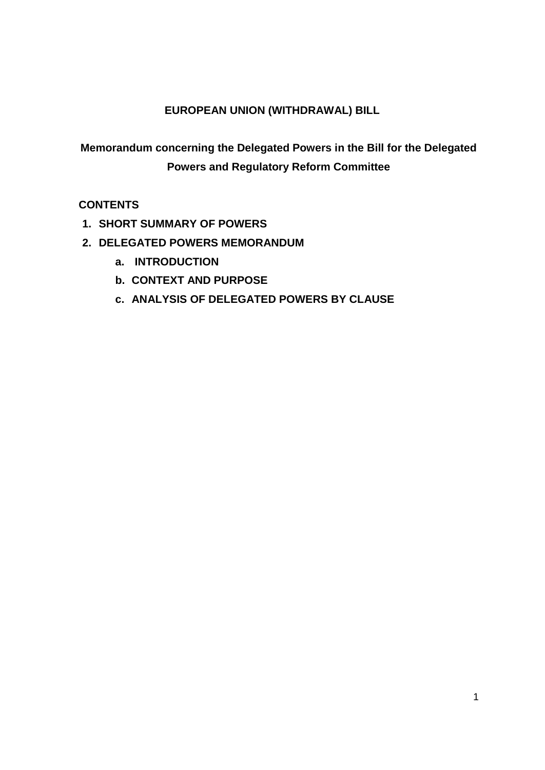# **EUROPEAN UNION (WITHDRAWAL) BILL**

**Memorandum concerning the Delegated Powers in the Bill for the Delegated Powers and Regulatory Reform Committee**

# **CONTENTS**

- **1. SHORT SUMMARY OF POWERS**
- **2. DELEGATED POWERS MEMORANDUM**
	- **a. INTRODUCTION**
	- **b. CONTEXT AND PURPOSE**
	- **c. ANALYSIS OF DELEGATED POWERS BY CLAUSE**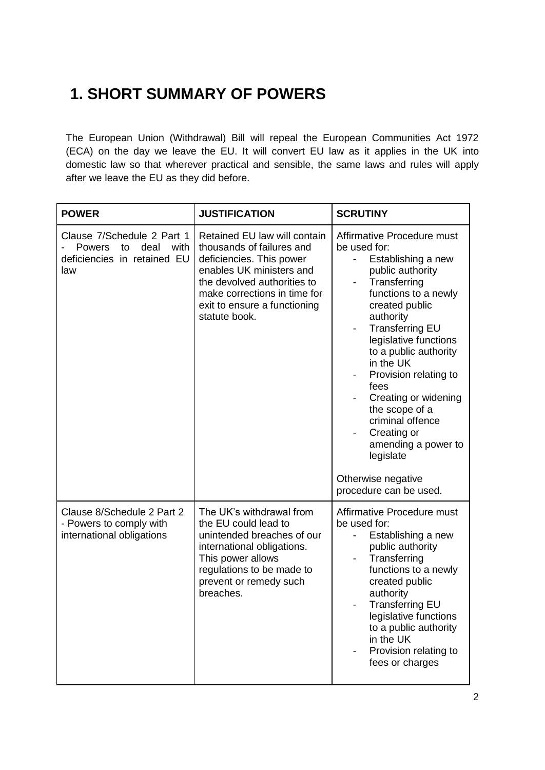# **1. SHORT SUMMARY OF POWERS**

The European Union (Withdrawal) Bill will repeal the European Communities Act 1972 (ECA) on the day we leave the EU. It will convert EU law as it applies in the UK into domestic law so that wherever practical and sensible, the same laws and rules will apply after we leave the EU as they did before.

| <b>POWER</b>                                                                                     | <b>JUSTIFICATION</b>                                                                                                                                                                                                              | <b>SCRUTINY</b>                                                                                                                                                                                                                                                                                                                                                                                                                                          |
|--------------------------------------------------------------------------------------------------|-----------------------------------------------------------------------------------------------------------------------------------------------------------------------------------------------------------------------------------|----------------------------------------------------------------------------------------------------------------------------------------------------------------------------------------------------------------------------------------------------------------------------------------------------------------------------------------------------------------------------------------------------------------------------------------------------------|
| Clause 7/Schedule 2 Part 1<br>deal<br>Powers<br>with<br>to<br>deficiencies in retained EU<br>law | Retained EU law will contain<br>thousands of failures and<br>deficiencies. This power<br>enables UK ministers and<br>the devolved authorities to<br>make corrections in time for<br>exit to ensure a functioning<br>statute book. | Affirmative Procedure must<br>be used for:<br>Establishing a new<br>$\overline{\phantom{a}}$<br>public authority<br>Transferring<br>functions to a newly<br>created public<br>authority<br><b>Transferring EU</b><br>legislative functions<br>to a public authority<br>in the UK<br>Provision relating to<br>fees<br>Creating or widening<br>the scope of a<br>criminal offence<br>Creating or<br>amending a power to<br>legislate<br>Otherwise negative |
|                                                                                                  |                                                                                                                                                                                                                                   | procedure can be used.                                                                                                                                                                                                                                                                                                                                                                                                                                   |
| Clause 8/Schedule 2 Part 2<br>- Powers to comply with<br>international obligations               | The UK's withdrawal from<br>the EU could lead to<br>unintended breaches of our<br>international obligations.<br>This power allows<br>regulations to be made to<br>prevent or remedy such<br>breaches.                             | Affirmative Procedure must<br>be used for:<br>Establishing a new<br>public authority<br>Transferring<br>functions to a newly<br>created public<br>authority<br><b>Transferring EU</b><br>legislative functions<br>to a public authority<br>in the UK<br>Provision relating to<br>fees or charges                                                                                                                                                         |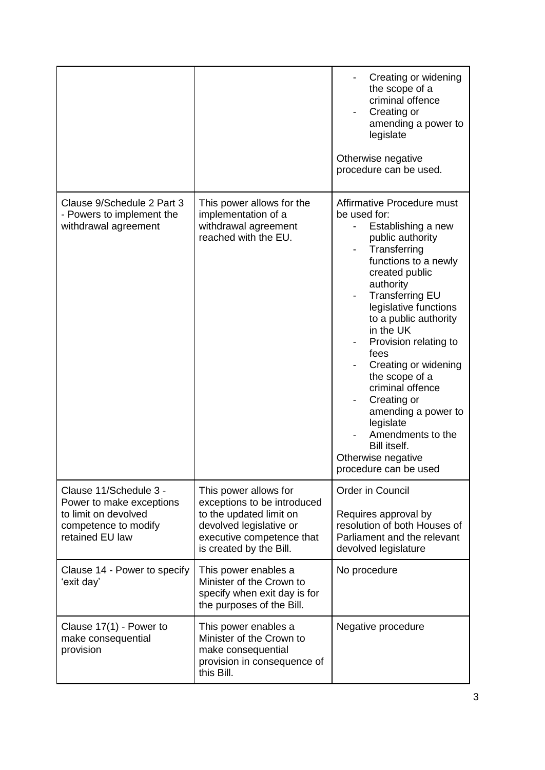|                                                                                                                       |                                                                                                                                                                    | Creating or widening<br>the scope of a<br>criminal offence<br>Creating or<br>amending a power to<br>legislate<br>Otherwise negative<br>procedure can be used.                                                                                                                                                                                                                                                                                                                                                |
|-----------------------------------------------------------------------------------------------------------------------|--------------------------------------------------------------------------------------------------------------------------------------------------------------------|--------------------------------------------------------------------------------------------------------------------------------------------------------------------------------------------------------------------------------------------------------------------------------------------------------------------------------------------------------------------------------------------------------------------------------------------------------------------------------------------------------------|
| Clause 9/Schedule 2 Part 3<br>- Powers to implement the<br>withdrawal agreement                                       | This power allows for the<br>implementation of a<br>withdrawal agreement<br>reached with the EU.                                                                   | Affirmative Procedure must<br>be used for:<br>Establishing a new<br>$\blacksquare$<br>public authority<br>Transferring<br>functions to a newly<br>created public<br>authority<br><b>Transferring EU</b><br>legislative functions<br>to a public authority<br>in the UK<br>Provision relating to<br>fees<br>Creating or widening<br>the scope of a<br>criminal offence<br>Creating or<br>amending a power to<br>legislate<br>Amendments to the<br>Bill itself.<br>Otherwise negative<br>procedure can be used |
| Clause 11/Schedule 3 -<br>Power to make exceptions<br>to limit on devolved<br>competence to modify<br>retained EU law | This power allows for<br>exceptions to be introduced<br>to the updated limit on<br>devolved legislative or<br>executive competence that<br>is created by the Bill. | Order in Council<br>Requires approval by<br>resolution of both Houses of<br>Parliament and the relevant<br>devolved legislature                                                                                                                                                                                                                                                                                                                                                                              |
| Clause 14 - Power to specify<br>'exit day'                                                                            | This power enables a<br>Minister of the Crown to<br>specify when exit day is for<br>the purposes of the Bill.                                                      | No procedure                                                                                                                                                                                                                                                                                                                                                                                                                                                                                                 |
| Clause 17(1) - Power to<br>make consequential<br>provision                                                            | This power enables a<br>Minister of the Crown to<br>make consequential<br>provision in consequence of<br>this Bill.                                                | Negative procedure                                                                                                                                                                                                                                                                                                                                                                                                                                                                                           |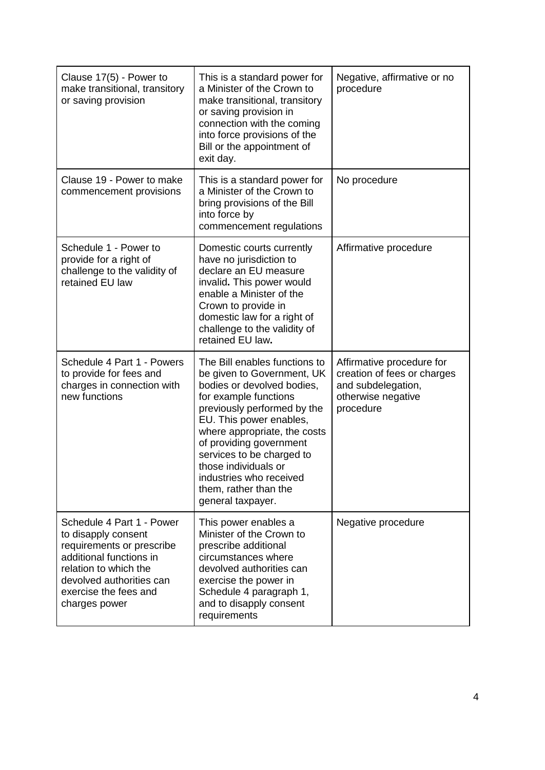| Clause 17(5) - Power to<br>make transitional, transitory<br>or saving provision                                                                                                                         | This is a standard power for<br>a Minister of the Crown to<br>make transitional, transitory<br>or saving provision in<br>connection with the coming<br>into force provisions of the<br>Bill or the appointment of<br>exit day.                                                                                                                                        | Negative, affirmative or no<br>procedure                                                                          |
|---------------------------------------------------------------------------------------------------------------------------------------------------------------------------------------------------------|-----------------------------------------------------------------------------------------------------------------------------------------------------------------------------------------------------------------------------------------------------------------------------------------------------------------------------------------------------------------------|-------------------------------------------------------------------------------------------------------------------|
| Clause 19 - Power to make<br>commencement provisions                                                                                                                                                    | This is a standard power for<br>a Minister of the Crown to<br>bring provisions of the Bill<br>into force by<br>commencement regulations                                                                                                                                                                                                                               | No procedure                                                                                                      |
| Schedule 1 - Power to<br>provide for a right of<br>challenge to the validity of<br>retained EU law                                                                                                      | Domestic courts currently<br>have no jurisdiction to<br>declare an EU measure<br>invalid. This power would<br>enable a Minister of the<br>Crown to provide in<br>domestic law for a right of<br>challenge to the validity of<br>retained EU law.                                                                                                                      | Affirmative procedure                                                                                             |
| Schedule 4 Part 1 - Powers<br>to provide for fees and<br>charges in connection with<br>new functions                                                                                                    | The Bill enables functions to<br>be given to Government, UK<br>bodies or devolved bodies,<br>for example functions<br>previously performed by the<br>EU. This power enables,<br>where appropriate, the costs<br>of providing government<br>services to be charged to<br>those individuals or<br>industries who received<br>them, rather than the<br>general taxpayer. | Affirmative procedure for<br>creation of fees or charges<br>and subdelegation,<br>otherwise negative<br>procedure |
| Schedule 4 Part 1 - Power<br>to disapply consent<br>requirements or prescribe<br>additional functions in<br>relation to which the<br>devolved authorities can<br>exercise the fees and<br>charges power | This power enables a<br>Minister of the Crown to<br>prescribe additional<br>circumstances where<br>devolved authorities can<br>exercise the power in<br>Schedule 4 paragraph 1,<br>and to disapply consent<br>requirements                                                                                                                                            | Negative procedure                                                                                                |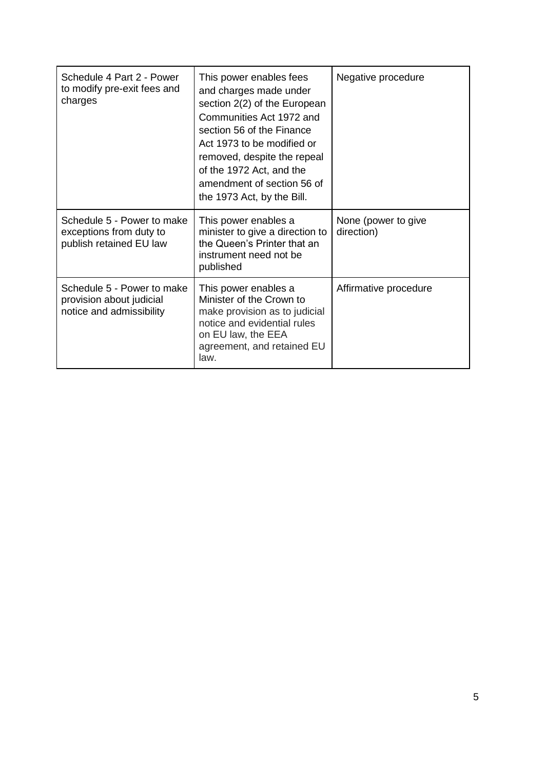| Schedule 4 Part 2 - Power<br>to modify pre-exit fees and<br>charges                | This power enables fees<br>and charges made under<br>section 2(2) of the European<br>Communities Act 1972 and<br>section 56 of the Finance<br>Act 1973 to be modified or<br>removed, despite the repeal<br>of the 1972 Act, and the<br>amendment of section 56 of<br>the 1973 Act, by the Bill. | Negative procedure                |
|------------------------------------------------------------------------------------|-------------------------------------------------------------------------------------------------------------------------------------------------------------------------------------------------------------------------------------------------------------------------------------------------|-----------------------------------|
| Schedule 5 - Power to make<br>exceptions from duty to<br>publish retained EU law   | This power enables a<br>minister to give a direction to<br>the Queen's Printer that an<br>instrument need not be<br>published                                                                                                                                                                   | None (power to give<br>direction) |
| Schedule 5 - Power to make<br>provision about judicial<br>notice and admissibility | This power enables a<br>Minister of the Crown to<br>make provision as to judicial<br>notice and evidential rules<br>on EU law, the EEA<br>agreement, and retained EU<br>law.                                                                                                                    | Affirmative procedure             |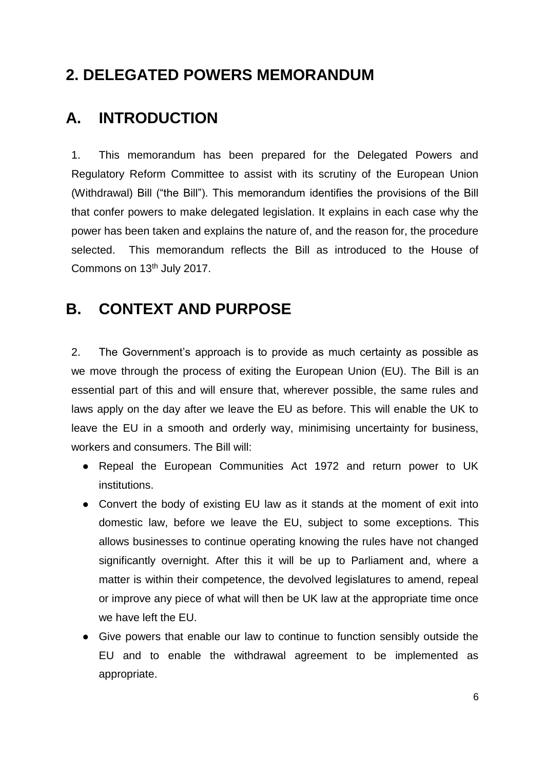# **2. DELEGATED POWERS MEMORANDUM**

# **A. INTRODUCTION**

1. This memorandum has been prepared for the Delegated Powers and Regulatory Reform Committee to assist with its scrutiny of the European Union (Withdrawal) Bill ("the Bill"). This memorandum identifies the provisions of the Bill that confer powers to make delegated legislation. It explains in each case why the power has been taken and explains the nature of, and the reason for, the procedure selected. This memorandum reflects the Bill as introduced to the House of Commons on 13th July 2017.

# **B. CONTEXT AND PURPOSE**

2. The Government's approach is to provide as much certainty as possible as we move through the process of exiting the European Union (EU). The Bill is an essential part of this and will ensure that, wherever possible, the same rules and laws apply on the day after we leave the EU as before. This will enable the UK to leave the EU in a smooth and orderly way, minimising uncertainty for business, workers and consumers. The Bill will:

- Repeal the European Communities Act 1972 and return power to UK institutions.
- Convert the body of existing EU law as it stands at the moment of exit into domestic law, before we leave the EU, subject to some exceptions. This allows businesses to continue operating knowing the rules have not changed significantly overnight. After this it will be up to Parliament and, where a matter is within their competence, the devolved legislatures to amend, repeal or improve any piece of what will then be UK law at the appropriate time once we have left the EU.
- Give powers that enable our law to continue to function sensibly outside the EU and to enable the withdrawal agreement to be implemented as appropriate.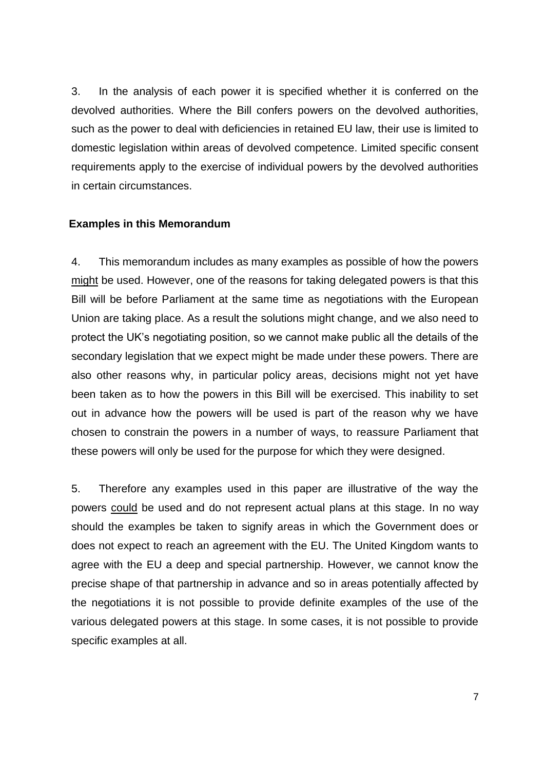3. In the analysis of each power it is specified whether it is conferred on the devolved authorities. Where the Bill confers powers on the devolved authorities, such as the power to deal with deficiencies in retained EU law, their use is limited to domestic legislation within areas of devolved competence. Limited specific consent requirements apply to the exercise of individual powers by the devolved authorities in certain circumstances.

#### **Examples in this Memorandum**

4. This memorandum includes as many examples as possible of how the powers might be used. However, one of the reasons for taking delegated powers is that this Bill will be before Parliament at the same time as negotiations with the European Union are taking place. As a result the solutions might change, and we also need to protect the UK's negotiating position, so we cannot make public all the details of the secondary legislation that we expect might be made under these powers. There are also other reasons why, in particular policy areas, decisions might not yet have been taken as to how the powers in this Bill will be exercised. This inability to set out in advance how the powers will be used is part of the reason why we have chosen to constrain the powers in a number of ways, to reassure Parliament that these powers will only be used for the purpose for which they were designed.

5. Therefore any examples used in this paper are illustrative of the way the powers could be used and do not represent actual plans at this stage. In no way should the examples be taken to signify areas in which the Government does or does not expect to reach an agreement with the EU. The United Kingdom wants to agree with the EU a deep and special partnership. However, we cannot know the precise shape of that partnership in advance and so in areas potentially affected by the negotiations it is not possible to provide definite examples of the use of the various delegated powers at this stage. In some cases, it is not possible to provide specific examples at all.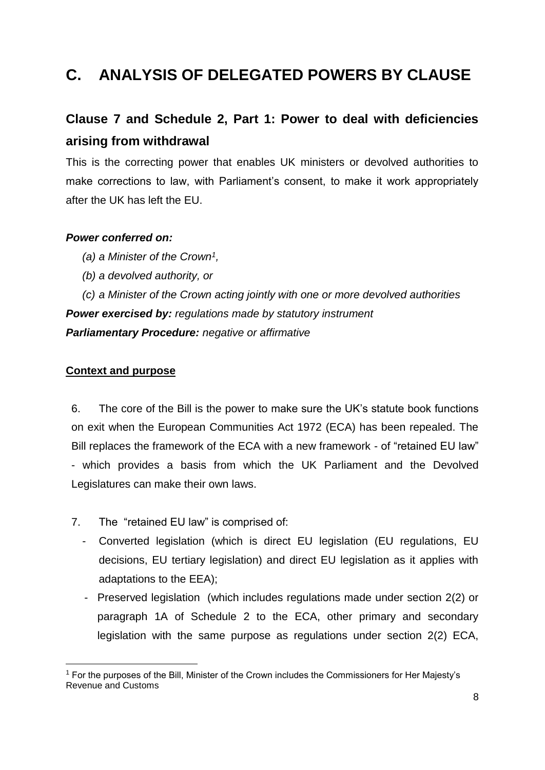# **C. ANALYSIS OF DELEGATED POWERS BY CLAUSE**

# **Clause 7 and Schedule 2, Part 1: Power to deal with deficiencies arising from withdrawal**

This is the correcting power that enables UK ministers or devolved authorities to make corrections to law, with Parliament's consent, to make it work appropriately after the UK has left the EU.

### *Power conferred on:*

- *(a) a Minister of the Crown<sup>1</sup> ,*
- *(b) a devolved authority, or*

*(c) a Minister of the Crown acting jointly with one or more devolved authorities Power exercised by: regulations made by statutory instrument Parliamentary Procedure: negative or affirmative*

## **Context and purpose**

-

6. The core of the Bill is the power to make sure the UK's statute book functions on exit when the European Communities Act 1972 (ECA) has been repealed. The Bill replaces the framework of the ECA with a new framework - of "retained EU law" - which provides a basis from which the UK Parliament and the Devolved Legislatures can make their own laws.

- 7. The "retained EU law" is comprised of:
	- Converted legislation (which is direct EU legislation (EU regulations, EU decisions, EU tertiary legislation) and direct EU legislation as it applies with adaptations to the EEA);
	- Preserved legislation (which includes regulations made under section 2(2) or paragraph 1A of Schedule 2 to the ECA, other primary and secondary legislation with the same purpose as regulations under section 2(2) ECA,

<sup>&</sup>lt;sup>1</sup> For the purposes of the Bill, Minister of the Crown includes the Commissioners for Her Majesty's Revenue and Customs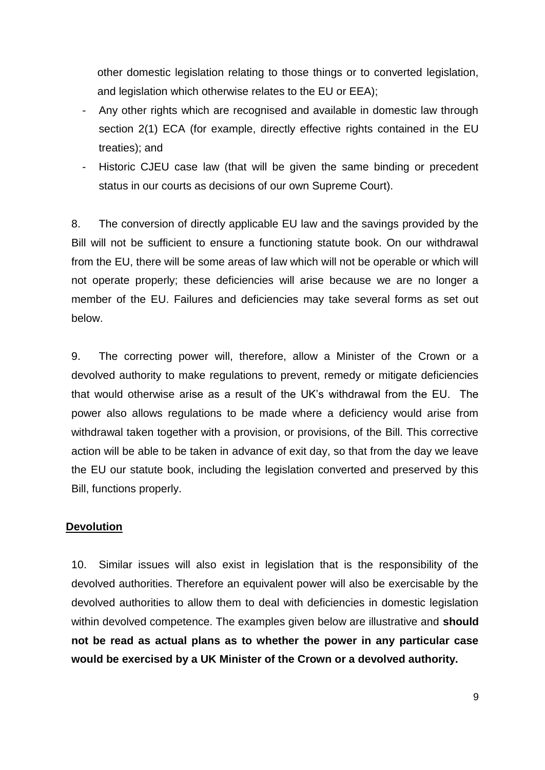other domestic legislation relating to those things or to converted legislation, and legislation which otherwise relates to the EU or EEA);

- Any other rights which are recognised and available in domestic law through section 2(1) ECA (for example, directly effective rights contained in the EU treaties); and
- Historic CJEU case law (that will be given the same binding or precedent status in our courts as decisions of our own Supreme Court).

8. The conversion of directly applicable EU law and the savings provided by the Bill will not be sufficient to ensure a functioning statute book. On our withdrawal from the EU, there will be some areas of law which will not be operable or which will not operate properly; these deficiencies will arise because we are no longer a member of the EU. Failures and deficiencies may take several forms as set out below.

9. The correcting power will, therefore, allow a Minister of the Crown or a devolved authority to make regulations to prevent, remedy or mitigate deficiencies that would otherwise arise as a result of the UK's withdrawal from the EU. The power also allows regulations to be made where a deficiency would arise from withdrawal taken together with a provision, or provisions, of the Bill. This corrective action will be able to be taken in advance of exit day, so that from the day we leave the EU our statute book, including the legislation converted and preserved by this Bill, functions properly.

### **Devolution**

10. Similar issues will also exist in legislation that is the responsibility of the devolved authorities. Therefore an equivalent power will also be exercisable by the devolved authorities to allow them to deal with deficiencies in domestic legislation within devolved competence. The examples given below are illustrative and **should not be read as actual plans as to whether the power in any particular case would be exercised by a UK Minister of the Crown or a devolved authority.**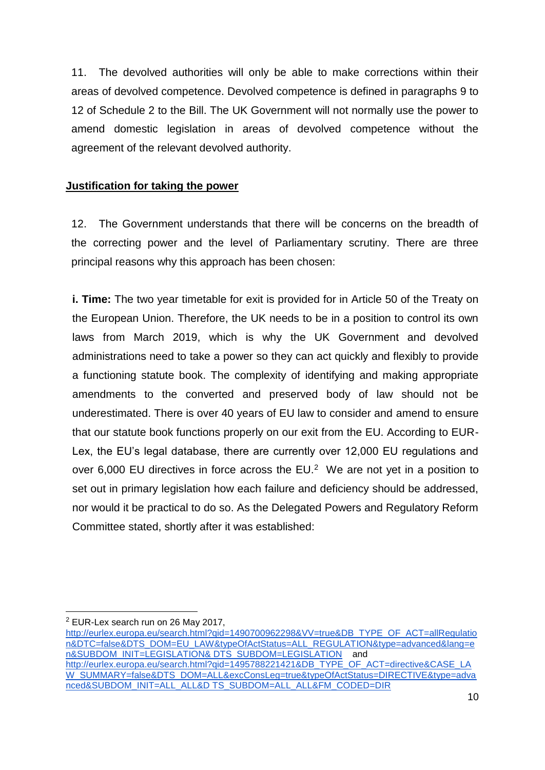11. The devolved authorities will only be able to make corrections within their areas of devolved competence. Devolved competence is defined in paragraphs 9 to 12 of Schedule 2 to the Bill. The UK Government will not normally use the power to amend domestic legislation in areas of devolved competence without the agreement of the relevant devolved authority.

## **Justification for taking the power**

12. The Government understands that there will be concerns on the breadth of the correcting power and the level of Parliamentary scrutiny. There are three principal reasons why this approach has been chosen:

**i. Time:** The two year timetable for exit is provided for in Article 50 of the Treaty on the European Union. Therefore, the UK needs to be in a position to control its own laws from March 2019, which is why the UK Government and devolved administrations need to take a power so they can act quickly and flexibly to provide a functioning statute book. The complexity of identifying and making appropriate amendments to the converted and preserved body of law should not be underestimated. There is over 40 years of EU law to consider and amend to ensure that our statute book functions properly on our exit from the EU. According to EUR-Lex, the EU's legal database, there are currently over 12,000 EU regulations and over 6,000 EU directives in force across the EU. $<sup>2</sup>$  We are not yet in a position to</sup> set out in primary legislation how each failure and deficiency should be addressed, nor would it be practical to do so. As the Delegated Powers and Regulatory Reform Committee stated, shortly after it was established:

[http://eurlex.europa.eu/search.html?qid=1490700962298&VV=true&DB\\_TYPE\\_OF\\_ACT=allRegulatio](http://eurlex.europa.eu/search.html?qid=1490700962298&VV=true&DB_TYPE_OF_ACT=allRegulation&DTC=false&DTS_DOM=EU_LAW&typeOfActStatus=ALL_REGULATION&type=advanced&lang=en&SUBDOM_INIT=LEGISLATION&) [n&DTC=false&DTS\\_DOM=EU\\_LAW&typeOfActStatus=ALL\\_REGULATION&type=advanced&lang=e](http://eurlex.europa.eu/search.html?qid=1490700962298&VV=true&DB_TYPE_OF_ACT=allRegulation&DTC=false&DTS_DOM=EU_LAW&typeOfActStatus=ALL_REGULATION&type=advanced&lang=en&SUBDOM_INIT=LEGISLATION&) [n&SUBDOM\\_INIT=LEGISLATION& DTS\\_SUBDOM=LEGISLATION](http://eurlex.europa.eu/search.html?qid=1490700962298&VV=true&DB_TYPE_OF_ACT=allRegulation&DTC=false&DTS_DOM=EU_LAW&typeOfActStatus=ALL_REGULATION&type=advanced&lang=en&SUBDOM_INIT=LEGISLATION&) and [http://eurlex.europa.eu/search.html?qid=1495788221421&DB\\_TYPE\\_OF\\_ACT=directive&CASE\\_LA](http://eurlex.europa.eu/search.html?qid=1495788221421&DB_TYPE_OF_ACT=directive&CASE_LAW_SUMMARY=false&DTS_DOM=ALL&excConsLeg=true&typeOfActStatus=DIRECTIVE&type=advanced&SUBDOM_INIT=ALL_ALL&D) [W\\_SUMMARY=false&DTS\\_DOM=ALL&excConsLeg=true&typeOfActStatus=DIRECTIVE&type=adva](http://eurlex.europa.eu/search.html?qid=1495788221421&DB_TYPE_OF_ACT=directive&CASE_LAW_SUMMARY=false&DTS_DOM=ALL&excConsLeg=true&typeOfActStatus=DIRECTIVE&type=advanced&SUBDOM_INIT=ALL_ALL&D) [nced&SUBDOM\\_INIT=ALL\\_ALL&D TS\\_SUBDOM=ALL\\_ALL&FM\\_CODED=DIR](http://eurlex.europa.eu/search.html?qid=1495788221421&DB_TYPE_OF_ACT=directive&CASE_LAW_SUMMARY=false&DTS_DOM=ALL&excConsLeg=true&typeOfActStatus=DIRECTIVE&type=advanced&SUBDOM_INIT=ALL_ALL&D) 

<sup>-</sup><sup>2</sup> EUR-Lex search run on 26 May 2017,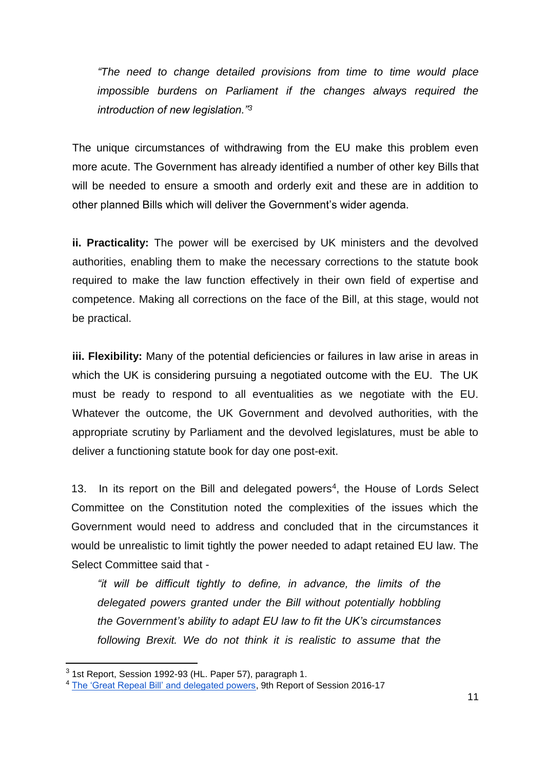*"The need to change detailed provisions from time to time would place impossible burdens on Parliament if the changes always required the introduction of new legislation."<sup>3</sup>*

The unique circumstances of withdrawing from the EU make this problem even more acute. The Government has already identified a number of other key Bills that will be needed to ensure a smooth and orderly exit and these are in addition to other planned Bills which will deliver the Government's wider agenda.

**ii. Practicality:** The power will be exercised by UK ministers and the devolved authorities, enabling them to make the necessary corrections to the statute book required to make the law function effectively in their own field of expertise and competence. Making all corrections on the face of the Bill, at this stage, would not be practical.

**iii. Flexibility:** Many of the potential deficiencies or failures in law arise in areas in which the UK is considering pursuing a negotiated outcome with the EU. The UK must be ready to respond to all eventualities as we negotiate with the EU. Whatever the outcome, the UK Government and devolved authorities, with the appropriate scrutiny by Parliament and the devolved legislatures, must be able to deliver a functioning statute book for day one post-exit.

13. In its report on the Bill and delegated powers<sup>4</sup>, the House of Lords Select Committee on the Constitution noted the complexities of the issues which the Government would need to address and concluded that in the circumstances it would be unrealistic to limit tightly the power needed to adapt retained EU law. The Select Committee said that -

*"it will be difficult tightly to define, in advance, the limits of the delegated powers granted under the Bill without potentially hobbling the Government's ability to adapt EU law to fit the UK's circumstances following Brexit. We do not think it is realistic to assume that the* 

-

<sup>3</sup> 1st Report, Session 1992-93 (HL. Paper 57), paragraph 1.

<sup>4</sup> [The 'Great Repeal Bill' and delegated powers,](https://www.publications.parliament.uk/pa/ld201617/ldselect/ldconst/123/123.pdf) 9th Report of Session 2016-17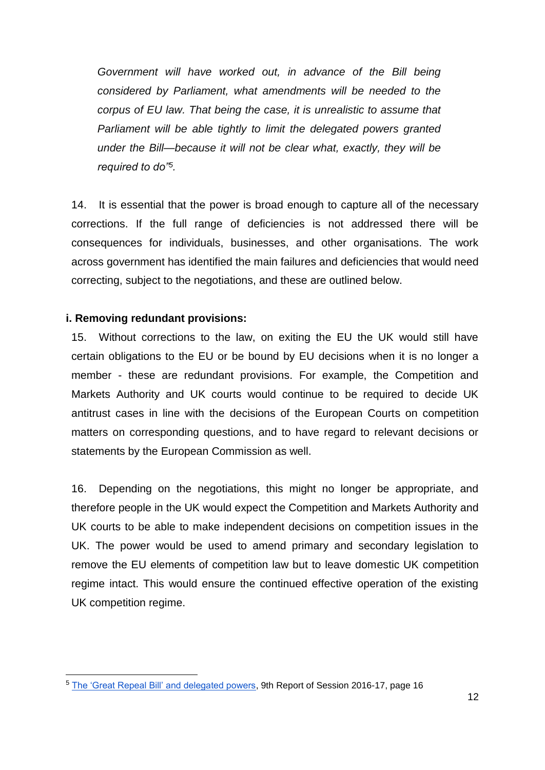*Government will have worked out, in advance of the Bill being considered by Parliament, what amendments will be needed to the corpus of EU law. That being the case, it is unrealistic to assume that Parliament will be able tightly to limit the delegated powers granted under the Bill—because it will not be clear what, exactly, they will be required to do"<sup>5</sup> .*

14. It is essential that the power is broad enough to capture all of the necessary corrections. If the full range of deficiencies is not addressed there will be consequences for individuals, businesses, and other organisations. The work across government has identified the main failures and deficiencies that would need correcting, subject to the negotiations, and these are outlined below.

### **i. Removing redundant provisions:**

-

15. Without corrections to the law, on exiting the EU the UK would still have certain obligations to the EU or be bound by EU decisions when it is no longer a member - these are redundant provisions. For example, the Competition and Markets Authority and UK courts would continue to be required to decide UK antitrust cases in line with the decisions of the European Courts on competition matters on corresponding questions, and to have regard to relevant decisions or statements by the European Commission as well.

16. Depending on the negotiations, this might no longer be appropriate, and therefore people in the UK would expect the Competition and Markets Authority and UK courts to be able to make independent decisions on competition issues in the UK. The power would be used to amend primary and secondary legislation to remove the EU elements of competition law but to leave domestic UK competition regime intact. This would ensure the continued effective operation of the existing UK competition regime.

<sup>5</sup> [The 'Great Repeal Bill' and delegated powers,](https://www.publications.parliament.uk/pa/ld201617/ldselect/ldconst/123/123.pdf) 9th Report of Session 2016-17, page 16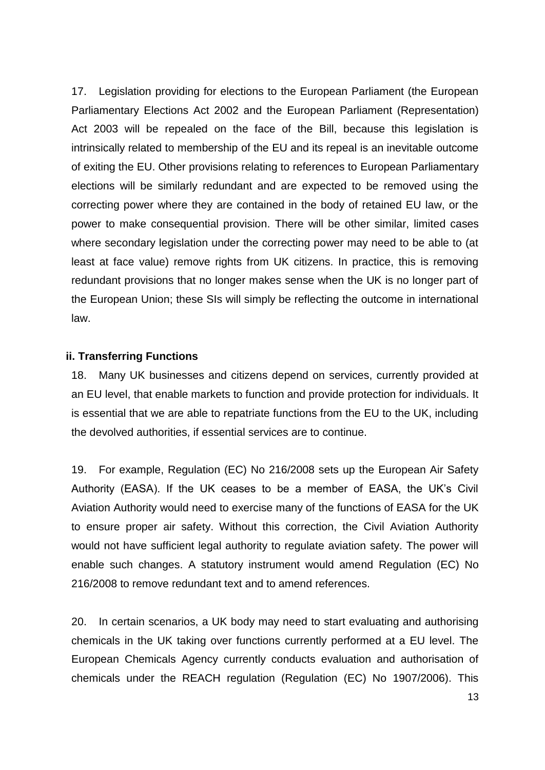17. Legislation providing for elections to the European Parliament (the European Parliamentary Elections Act 2002 and the European Parliament (Representation) Act 2003 will be repealed on the face of the Bill, because this legislation is intrinsically related to membership of the EU and its repeal is an inevitable outcome of exiting the EU. Other provisions relating to references to European Parliamentary elections will be similarly redundant and are expected to be removed using the correcting power where they are contained in the body of retained EU law, or the power to make consequential provision. There will be other similar, limited cases where secondary legislation under the correcting power may need to be able to (at least at face value) remove rights from UK citizens. In practice, this is removing redundant provisions that no longer makes sense when the UK is no longer part of the European Union; these SIs will simply be reflecting the outcome in international law.

#### **ii. Transferring Functions**

18. Many UK businesses and citizens depend on services, currently provided at an EU level, that enable markets to function and provide protection for individuals. It is essential that we are able to repatriate functions from the EU to the UK, including the devolved authorities, if essential services are to continue.

19. For example, Regulation (EC) No 216/2008 sets up the European Air Safety Authority (EASA). If the UK ceases to be a member of EASA, the UK's Civil Aviation Authority would need to exercise many of the functions of EASA for the UK to ensure proper air safety. Without this correction, the Civil Aviation Authority would not have sufficient legal authority to regulate aviation safety. The power will enable such changes. A statutory instrument would amend Regulation (EC) No 216/2008 to remove redundant text and to amend references.

20. In certain scenarios, a UK body may need to start evaluating and authorising chemicals in the UK taking over functions currently performed at a EU level. The European Chemicals Agency currently conducts evaluation and authorisation of chemicals under the REACH regulation (Regulation (EC) No 1907/2006). This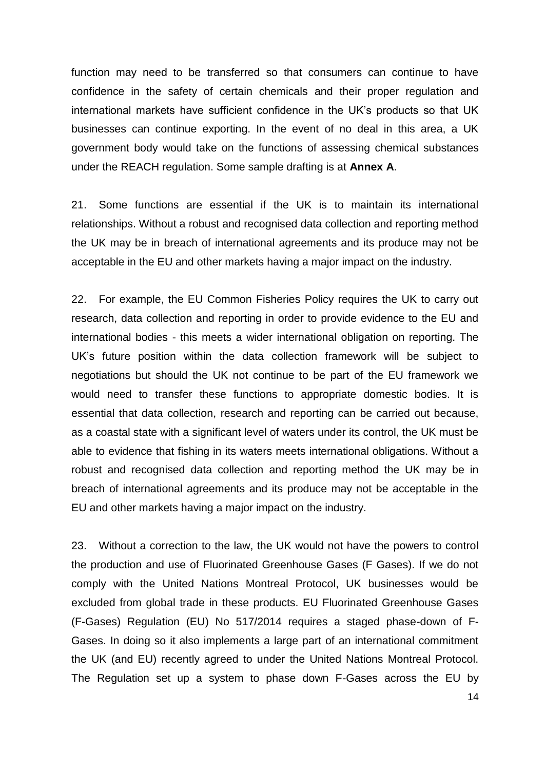function may need to be transferred so that consumers can continue to have confidence in the safety of certain chemicals and their proper regulation and international markets have sufficient confidence in the UK's products so that UK businesses can continue exporting. In the event of no deal in this area, a UK government body would take on the functions of assessing chemical substances under the REACH regulation. Some sample drafting is at **Annex A**.

21. Some functions are essential if the UK is to maintain its international relationships. Without a robust and recognised data collection and reporting method the UK may be in breach of international agreements and its produce may not be acceptable in the EU and other markets having a major impact on the industry.

22. For example, the EU Common Fisheries Policy requires the UK to carry out research, data collection and reporting in order to provide evidence to the EU and international bodies - this meets a wider international obligation on reporting. The UK's future position within the data collection framework will be subject to negotiations but should the UK not continue to be part of the EU framework we would need to transfer these functions to appropriate domestic bodies. It is essential that data collection, research and reporting can be carried out because, as a coastal state with a significant level of waters under its control, the UK must be able to evidence that fishing in its waters meets international obligations. Without a robust and recognised data collection and reporting method the UK may be in breach of international agreements and its produce may not be acceptable in the EU and other markets having a major impact on the industry.

23. Without a correction to the law, the UK would not have the powers to control the production and use of Fluorinated Greenhouse Gases (F Gases). If we do not comply with the United Nations Montreal Protocol, UK businesses would be excluded from global trade in these products. EU Fluorinated Greenhouse Gases (F-Gases) Regulation (EU) No 517/2014 requires a staged phase-down of F-Gases. In doing so it also implements a large part of an international commitment the UK (and EU) recently agreed to under the United Nations Montreal Protocol. The Regulation set up a system to phase down F-Gases across the EU by

14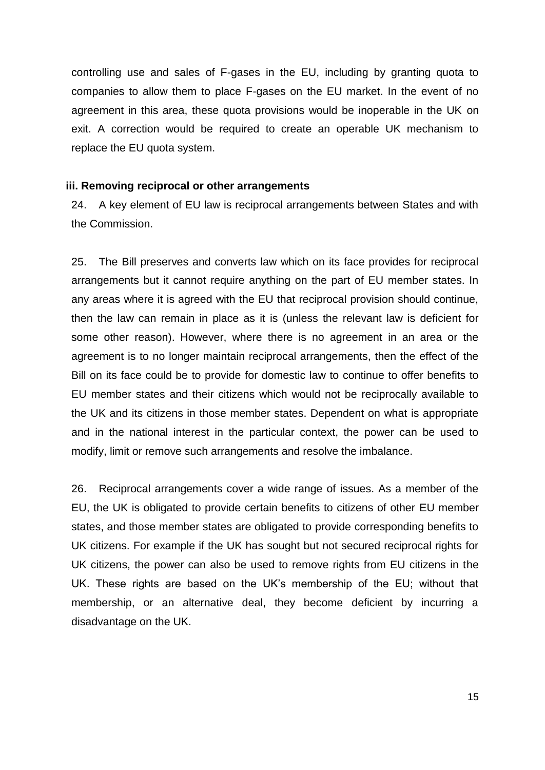controlling use and sales of F-gases in the EU, including by granting quota to companies to allow them to place F-gases on the EU market. In the event of no agreement in this area, these quota provisions would be inoperable in the UK on exit. A correction would be required to create an operable UK mechanism to replace the EU quota system.

#### **iii. Removing reciprocal or other arrangements**

24. A key element of EU law is reciprocal arrangements between States and with the Commission.

25. The Bill preserves and converts law which on its face provides for reciprocal arrangements but it cannot require anything on the part of EU member states. In any areas where it is agreed with the EU that reciprocal provision should continue, then the law can remain in place as it is (unless the relevant law is deficient for some other reason). However, where there is no agreement in an area or the agreement is to no longer maintain reciprocal arrangements, then the effect of the Bill on its face could be to provide for domestic law to continue to offer benefits to EU member states and their citizens which would not be reciprocally available to the UK and its citizens in those member states. Dependent on what is appropriate and in the national interest in the particular context, the power can be used to modify, limit or remove such arrangements and resolve the imbalance.

26. Reciprocal arrangements cover a wide range of issues. As a member of the EU, the UK is obligated to provide certain benefits to citizens of other EU member states, and those member states are obligated to provide corresponding benefits to UK citizens. For example if the UK has sought but not secured reciprocal rights for UK citizens, the power can also be used to remove rights from EU citizens in the UK. These rights are based on the UK's membership of the EU; without that membership, or an alternative deal, they become deficient by incurring a disadvantage on the UK.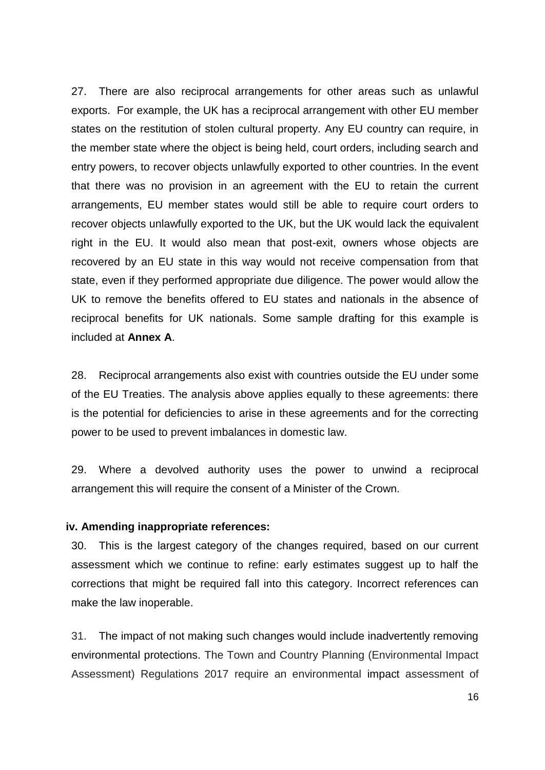27. There are also reciprocal arrangements for other areas such as unlawful exports. For example, the UK has a reciprocal arrangement with other EU member states on the restitution of stolen cultural property. Any EU country can require, in the member state where the object is being held, court orders, including search and entry powers, to recover objects unlawfully exported to other countries. In the event that there was no provision in an agreement with the EU to retain the current arrangements, EU member states would still be able to require court orders to recover objects unlawfully exported to the UK, but the UK would lack the equivalent right in the EU. It would also mean that post-exit, owners whose objects are recovered by an EU state in this way would not receive compensation from that state, even if they performed appropriate due diligence. The power would allow the UK to remove the benefits offered to EU states and nationals in the absence of reciprocal benefits for UK nationals. Some sample drafting for this example is included at **Annex A**.

28. Reciprocal arrangements also exist with countries outside the EU under some of the EU Treaties. The analysis above applies equally to these agreements: there is the potential for deficiencies to arise in these agreements and for the correcting power to be used to prevent imbalances in domestic law.

29. Where a devolved authority uses the power to unwind a reciprocal arrangement this will require the consent of a Minister of the Crown.

#### **iv. Amending inappropriate references:**

30. This is the largest category of the changes required, based on our current assessment which we continue to refine: early estimates suggest up to half the corrections that might be required fall into this category. Incorrect references can make the law inoperable.

31. The impact of not making such changes would include inadvertently removing environmental protections. The Town and Country Planning (Environmental Impact Assessment) Regulations 2017 require an environmental impact assessment of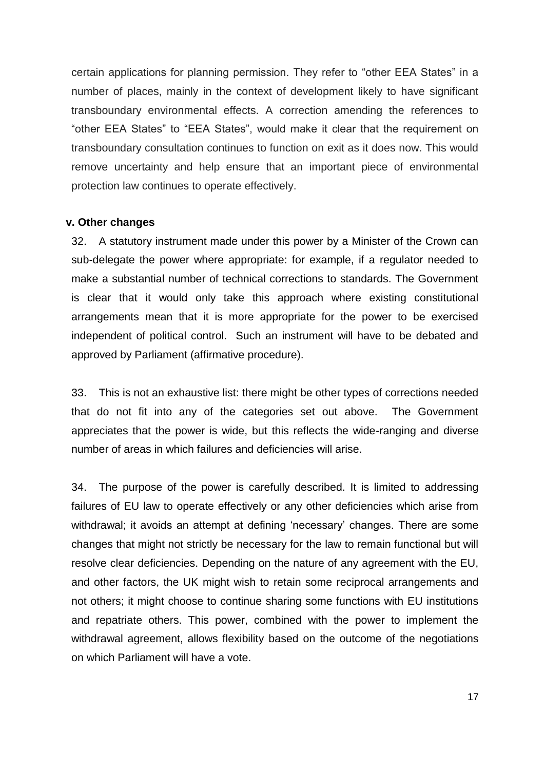certain applications for planning permission. They refer to "other EEA States" in a number of places, mainly in the context of development likely to have significant transboundary environmental effects. A correction amending the references to "other EEA States" to "EEA States", would make it clear that the requirement on transboundary consultation continues to function on exit as it does now. This would remove uncertainty and help ensure that an important piece of environmental protection law continues to operate effectively.

#### **v. Other changes**

32. A statutory instrument made under this power by a Minister of the Crown can sub-delegate the power where appropriate: for example, if a regulator needed to make a substantial number of technical corrections to standards. The Government is clear that it would only take this approach where existing constitutional arrangements mean that it is more appropriate for the power to be exercised independent of political control. Such an instrument will have to be debated and approved by Parliament (affirmative procedure).

33. This is not an exhaustive list: there might be other types of corrections needed that do not fit into any of the categories set out above. The Government appreciates that the power is wide, but this reflects the wide-ranging and diverse number of areas in which failures and deficiencies will arise.

34. The purpose of the power is carefully described. It is limited to addressing failures of EU law to operate effectively or any other deficiencies which arise from withdrawal; it avoids an attempt at defining 'necessary' changes. There are some changes that might not strictly be necessary for the law to remain functional but will resolve clear deficiencies. Depending on the nature of any agreement with the EU, and other factors, the UK might wish to retain some reciprocal arrangements and not others; it might choose to continue sharing some functions with EU institutions and repatriate others. This power, combined with the power to implement the withdrawal agreement, allows flexibility based on the outcome of the negotiations on which Parliament will have a vote.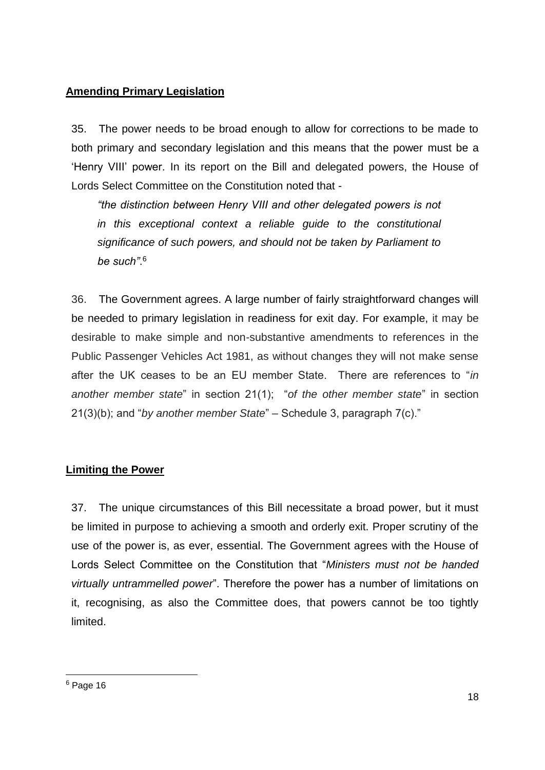# **Amending Primary Legislation**

35. The power needs to be broad enough to allow for corrections to be made to both primary and secondary legislation and this means that the power must be a 'Henry VIII' power. In its report on the Bill and delegated powers, the House of Lords Select Committee on the Constitution noted that -

*"the distinction between Henry VIII and other delegated powers is not in this exceptional context a reliable guide to the constitutional significance of such powers, and should not be taken by Parliament to be such"*. 6

36. The Government agrees. A large number of fairly straightforward changes will be needed to primary legislation in readiness for exit day. For example, it may be desirable to make simple and non-substantive amendments to references in the Public Passenger Vehicles Act 1981, as without changes they will not make sense after the UK ceases to be an EU member State. There are references to "*in another member state*" in section 21(1); "*of the other member state*" in section 21(3)(b); and "*by another member State*" – Schedule 3, paragraph 7(c)."

# **Limiting the Power**

37. The unique circumstances of this Bill necessitate a broad power, but it must be limited in purpose to achieving a smooth and orderly exit. Proper scrutiny of the use of the power is, as ever, essential. The Government agrees with the House of Lords Select Committee on the Constitution that "*Ministers must not be handed virtually untrammelled power*". Therefore the power has a number of limitations on it, recognising, as also the Committee does, that powers cannot be too tightly limited.

-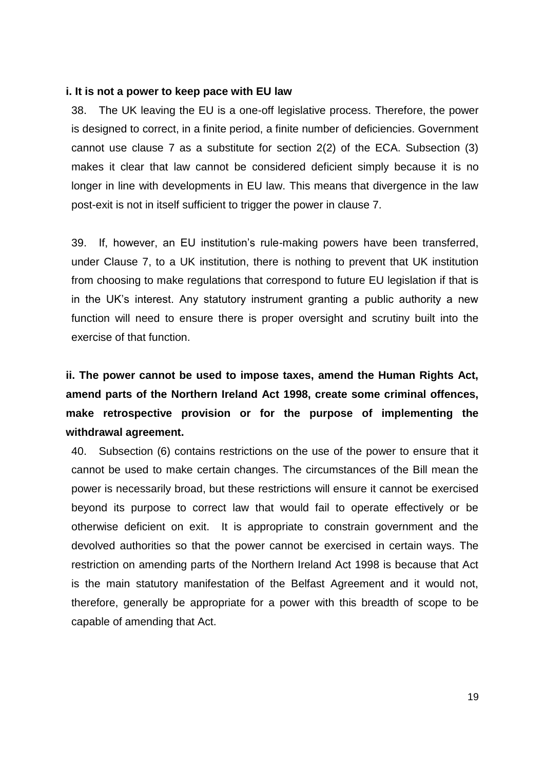#### **i. It is not a power to keep pace with EU law**

38. The UK leaving the EU is a one-off legislative process. Therefore, the power is designed to correct, in a finite period, a finite number of deficiencies. Government cannot use clause 7 as a substitute for section 2(2) of the ECA. Subsection (3) makes it clear that law cannot be considered deficient simply because it is no longer in line with developments in EU law. This means that divergence in the law post-exit is not in itself sufficient to trigger the power in clause 7.

39. If, however, an EU institution's rule-making powers have been transferred, under Clause 7, to a UK institution, there is nothing to prevent that UK institution from choosing to make regulations that correspond to future EU legislation if that is in the UK's interest. Any statutory instrument granting a public authority a new function will need to ensure there is proper oversight and scrutiny built into the exercise of that function.

**ii. The power cannot be used to impose taxes, amend the Human Rights Act, amend parts of the Northern Ireland Act 1998, create some criminal offences, make retrospective provision or for the purpose of implementing the withdrawal agreement.**

40. Subsection (6) contains restrictions on the use of the power to ensure that it cannot be used to make certain changes. The circumstances of the Bill mean the power is necessarily broad, but these restrictions will ensure it cannot be exercised beyond its purpose to correct law that would fail to operate effectively or be otherwise deficient on exit. It is appropriate to constrain government and the devolved authorities so that the power cannot be exercised in certain ways. The restriction on amending parts of the Northern Ireland Act 1998 is because that Act is the main statutory manifestation of the Belfast Agreement and it would not, therefore, generally be appropriate for a power with this breadth of scope to be capable of amending that Act.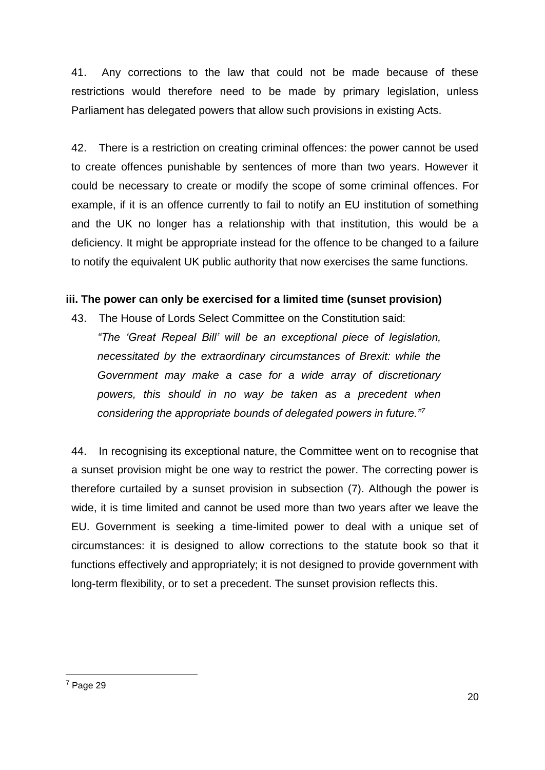41. Any corrections to the law that could not be made because of these restrictions would therefore need to be made by primary legislation, unless Parliament has delegated powers that allow such provisions in existing Acts.

42. There is a restriction on creating criminal offences: the power cannot be used to create offences punishable by sentences of more than two years. However it could be necessary to create or modify the scope of some criminal offences. For example, if it is an offence currently to fail to notify an EU institution of something and the UK no longer has a relationship with that institution, this would be a deficiency. It might be appropriate instead for the offence to be changed to a failure to notify the equivalent UK public authority that now exercises the same functions.

## **iii. The power can only be exercised for a limited time (sunset provision)**

43. The House of Lords Select Committee on the Constitution said: *"The 'Great Repeal Bill' will be an exceptional piece of legislation, necessitated by the extraordinary circumstances of Brexit: while the Government may make a case for a wide array of discretionary powers, this should in no way be taken as a precedent when considering the appropriate bounds of delegated powers in future."<sup>7</sup>*

44. In recognising its exceptional nature, the Committee went on to recognise that a sunset provision might be one way to restrict the power. The correcting power is therefore curtailed by a sunset provision in subsection (7). Although the power is wide, it is time limited and cannot be used more than two years after we leave the EU. Government is seeking a time-limited power to deal with a unique set of circumstances: it is designed to allow corrections to the statute book so that it functions effectively and appropriately; it is not designed to provide government with long-term flexibility, or to set a precedent. The sunset provision reflects this.

-

<sup>7</sup> Page 29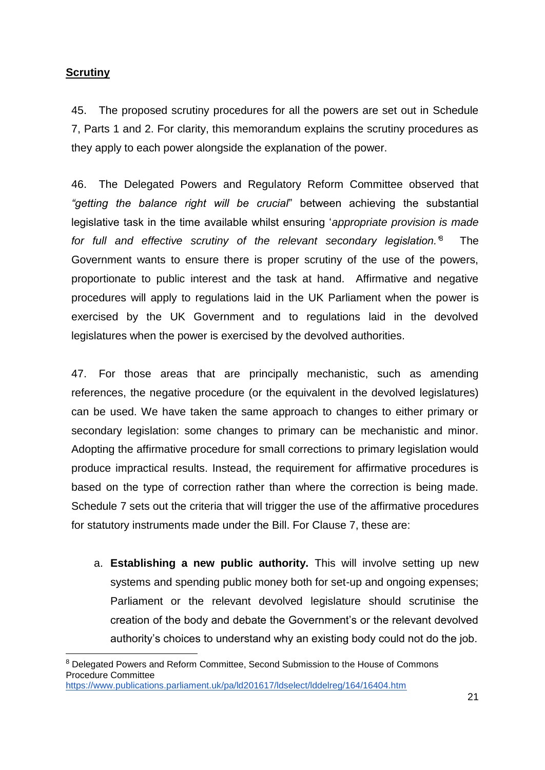# **Scrutiny**

-

45. The proposed scrutiny procedures for all the powers are set out in Schedule 7, Parts 1 and 2. For clarity, this memorandum explains the scrutiny procedures as they apply to each power alongside the explanation of the power.

46. The Delegated Powers and Regulatory Reform Committee observed that *"getting the balance right will be crucial*" between achieving the substantial legislative task in the time available whilst ensuring '*appropriate provision is made for full and effective scrutiny of the relevant secondary legislation.'*<sup>8</sup> The Government wants to ensure there is proper scrutiny of the use of the powers, proportionate to public interest and the task at hand. Affirmative and negative procedures will apply to regulations laid in the UK Parliament when the power is exercised by the UK Government and to regulations laid in the devolved legislatures when the power is exercised by the devolved authorities.

47. For those areas that are principally mechanistic, such as amending references, the negative procedure (or the equivalent in the devolved legislatures) can be used. We have taken the same approach to changes to either primary or secondary legislation: some changes to primary can be mechanistic and minor. Adopting the affirmative procedure for small corrections to primary legislation would produce impractical results. Instead, the requirement for affirmative procedures is based on the type of correction rather than where the correction is being made. Schedule 7 sets out the criteria that will trigger the use of the affirmative procedures for statutory instruments made under the Bill. For Clause 7, these are:

a. **Establishing a new public authority.** This will involve setting up new systems and spending public money both for set-up and ongoing expenses; Parliament or the relevant devolved legislature should scrutinise the creation of the body and debate the Government's or the relevant devolved authority's choices to understand why an existing body could not do the job.

<sup>8</sup> Delegated Powers and Reform Committee, Second Submission to the House of Commons Procedure Committee <https://www.publications.parliament.uk/pa/ld201617/ldselect/lddelreg/164/16404.htm>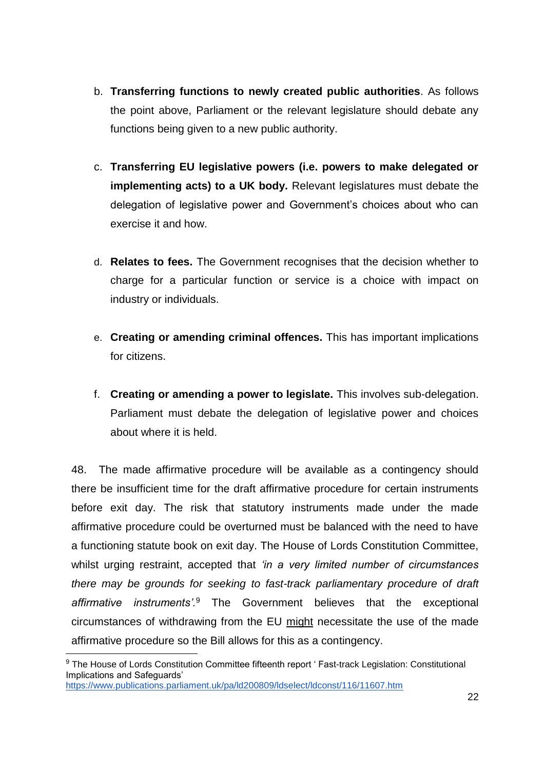- b. **Transferring functions to newly created public authorities**. As follows the point above, Parliament or the relevant legislature should debate any functions being given to a new public authority.
- c. **Transferring EU legislative powers (i.e. powers to make delegated or implementing acts) to a UK body.** Relevant legislatures must debate the delegation of legislative power and Government's choices about who can exercise it and how.
- d. **Relates to fees.** The Government recognises that the decision whether to charge for a particular function or service is a choice with impact on industry or individuals.
- e. **Creating or amending criminal offences.** This has important implications for citizens.
- f. **Creating or amending a power to legislate.** This involves sub-delegation. Parliament must debate the delegation of legislative power and choices about where it is held.

48. The made affirmative procedure will be available as a contingency should there be insufficient time for the draft affirmative procedure for certain instruments before exit day. The risk that statutory instruments made under the made affirmative procedure could be overturned must be balanced with the need to have a functioning statute book on exit day. The House of Lords Constitution Committee, whilst urging restraint, accepted that *'in a very limited number of circumstances there may be grounds for seeking to fast-track parliamentary procedure of draft affirmative instruments'.*<sup>9</sup> The Government believes that the exceptional circumstances of withdrawing from the EU might necessitate the use of the made affirmative procedure so the Bill allows for this as a contingency.

-

<sup>&</sup>lt;sup>9</sup> The House of Lords Constitution Committee fifteenth report ' Fast-track Legislation: Constitutional Implications and Safeguards' <https://www.publications.parliament.uk/pa/ld200809/ldselect/ldconst/116/11607.htm>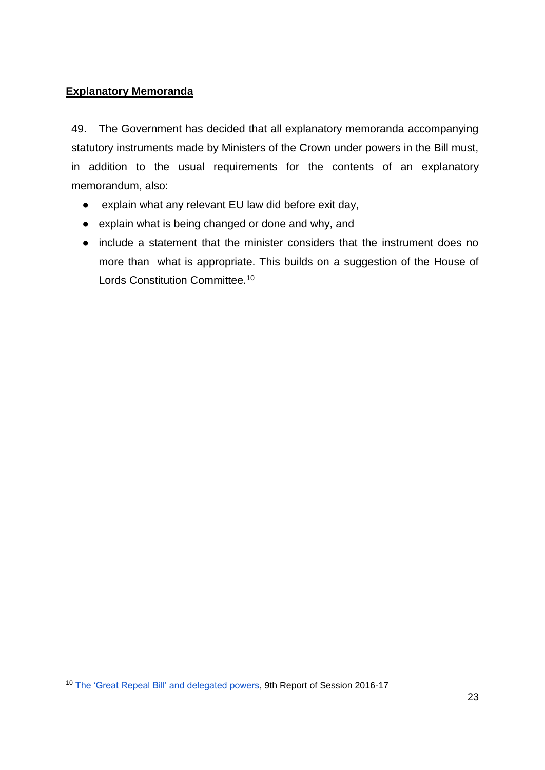# **Explanatory Memoranda**

49. The Government has decided that all explanatory memoranda accompanying statutory instruments made by Ministers of the Crown under powers in the Bill must, in addition to the usual requirements for the contents of an explanatory memorandum, also:

- explain what any relevant EU law did before exit day,
- explain what is being changed or done and why, and
- include a statement that the minister considers that the instrument does no more than what is appropriate. This builds on a suggestion of the House of Lords Constitution Committee.<sup>10</sup>

-

<sup>10</sup> [The 'Great Repeal Bill' and delegated powers,](https://www.publications.parliament.uk/pa/ld201617/ldselect/ldconst/123/123.pdf) 9th Report of Session 2016-17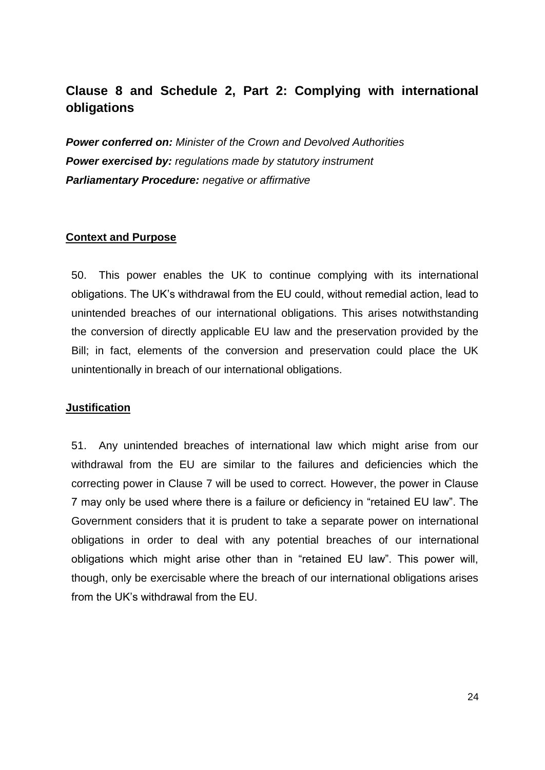# **Clause 8 and Schedule 2, Part 2: Complying with international obligations**

*Power conferred on: Minister of the Crown and Devolved Authorities Power exercised by: regulations made by statutory instrument Parliamentary Procedure: negative or affirmative*

#### **Context and Purpose**

50. This power enables the UK to continue complying with its international obligations. The UK's withdrawal from the EU could, without remedial action, lead to unintended breaches of our international obligations. This arises notwithstanding the conversion of directly applicable EU law and the preservation provided by the Bill; in fact, elements of the conversion and preservation could place the UK unintentionally in breach of our international obligations.

#### **Justification**

51. Any unintended breaches of international law which might arise from our withdrawal from the EU are similar to the failures and deficiencies which the correcting power in Clause 7 will be used to correct. However, the power in Clause 7 may only be used where there is a failure or deficiency in "retained EU law". The Government considers that it is prudent to take a separate power on international obligations in order to deal with any potential breaches of our international obligations which might arise other than in "retained EU law". This power will, though, only be exercisable where the breach of our international obligations arises from the UK's withdrawal from the EU.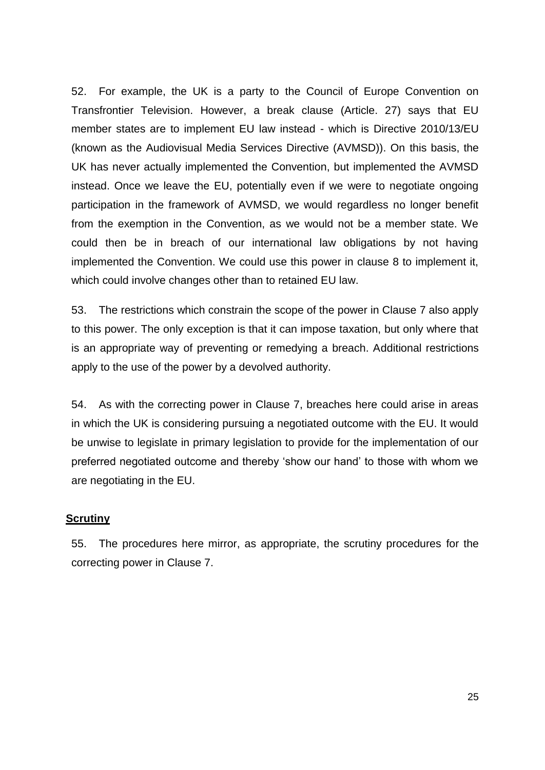52. For example, the UK is a party to the Council of Europe Convention on Transfrontier Television. However, a break clause (Article. 27) says that EU member states are to implement EU law instead - which is Directive 2010/13/EU (known as the Audiovisual Media Services Directive (AVMSD)). On this basis, the UK has never actually implemented the Convention, but implemented the AVMSD instead. Once we leave the EU, potentially even if we were to negotiate ongoing participation in the framework of AVMSD, we would regardless no longer benefit from the exemption in the Convention, as we would not be a member state. We could then be in breach of our international law obligations by not having implemented the Convention. We could use this power in clause 8 to implement it, which could involve changes other than to retained EU law.

53. The restrictions which constrain the scope of the power in Clause 7 also apply to this power. The only exception is that it can impose taxation, but only where that is an appropriate way of preventing or remedying a breach. Additional restrictions apply to the use of the power by a devolved authority.

54. As with the correcting power in Clause 7, breaches here could arise in areas in which the UK is considering pursuing a negotiated outcome with the EU. It would be unwise to legislate in primary legislation to provide for the implementation of our preferred negotiated outcome and thereby 'show our hand' to those with whom we are negotiating in the EU.

### **Scrutiny**

55. The procedures here mirror, as appropriate, the scrutiny procedures for the correcting power in Clause 7.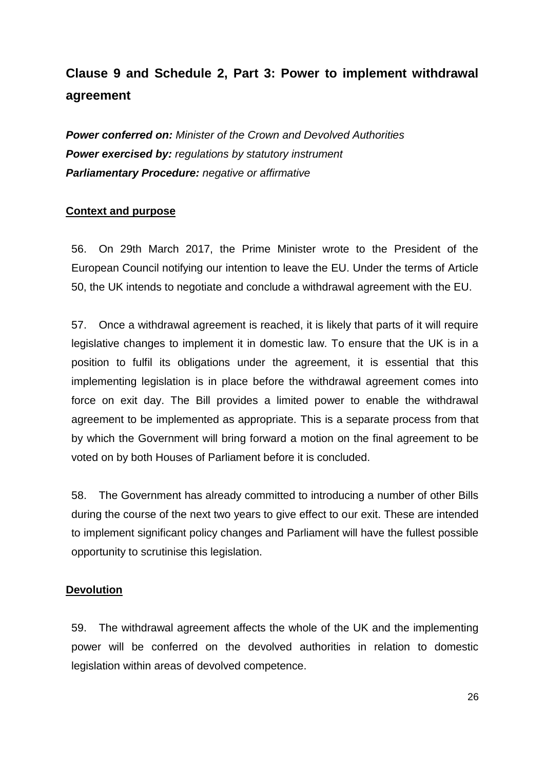# **Clause 9 and Schedule 2, Part 3: Power to implement withdrawal agreement**

*Power conferred on: Minister of the Crown and Devolved Authorities Power exercised by: regulations by statutory instrument Parliamentary Procedure: negative or affirmative* 

## **Context and purpose**

56. On 29th March 2017, the Prime Minister wrote to the President of the European Council notifying our intention to leave the EU. Under the terms of Article 50, the UK intends to negotiate and conclude a withdrawal agreement with the EU.

57. Once a withdrawal agreement is reached, it is likely that parts of it will require legislative changes to implement it in domestic law. To ensure that the UK is in a position to fulfil its obligations under the agreement, it is essential that this implementing legislation is in place before the withdrawal agreement comes into force on exit day. The Bill provides a limited power to enable the withdrawal agreement to be implemented as appropriate. This is a separate process from that by which the Government will bring forward a motion on the final agreement to be voted on by both Houses of Parliament before it is concluded.

58. The Government has already committed to introducing a number of other Bills during the course of the next two years to give effect to our exit. These are intended to implement significant policy changes and Parliament will have the fullest possible opportunity to scrutinise this legislation.

### **Devolution**

59. The withdrawal agreement affects the whole of the UK and the implementing power will be conferred on the devolved authorities in relation to domestic legislation within areas of devolved competence.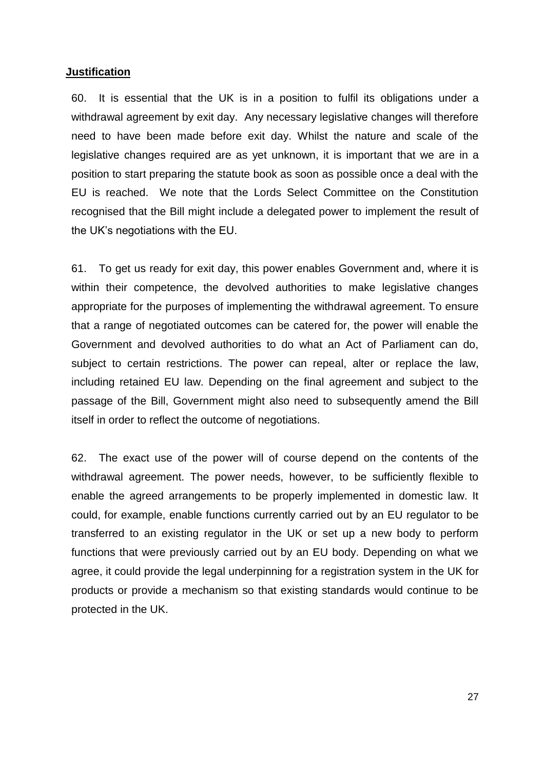#### **Justification**

60. It is essential that the UK is in a position to fulfil its obligations under a withdrawal agreement by exit day. Any necessary legislative changes will therefore need to have been made before exit day. Whilst the nature and scale of the legislative changes required are as yet unknown, it is important that we are in a position to start preparing the statute book as soon as possible once a deal with the EU is reached. We note that the Lords Select Committee on the Constitution recognised that the Bill might include a delegated power to implement the result of the UK's negotiations with the EU.

61. To get us ready for exit day, this power enables Government and, where it is within their competence, the devolved authorities to make legislative changes appropriate for the purposes of implementing the withdrawal agreement. To ensure that a range of negotiated outcomes can be catered for, the power will enable the Government and devolved authorities to do what an Act of Parliament can do, subject to certain restrictions. The power can repeal, alter or replace the law, including retained EU law. Depending on the final agreement and subject to the passage of the Bill, Government might also need to subsequently amend the Bill itself in order to reflect the outcome of negotiations.

62. The exact use of the power will of course depend on the contents of the withdrawal agreement. The power needs, however, to be sufficiently flexible to enable the agreed arrangements to be properly implemented in domestic law. It could, for example, enable functions currently carried out by an EU regulator to be transferred to an existing regulator in the UK or set up a new body to perform functions that were previously carried out by an EU body. Depending on what we agree, it could provide the legal underpinning for a registration system in the UK for products or provide a mechanism so that existing standards would continue to be protected in the UK.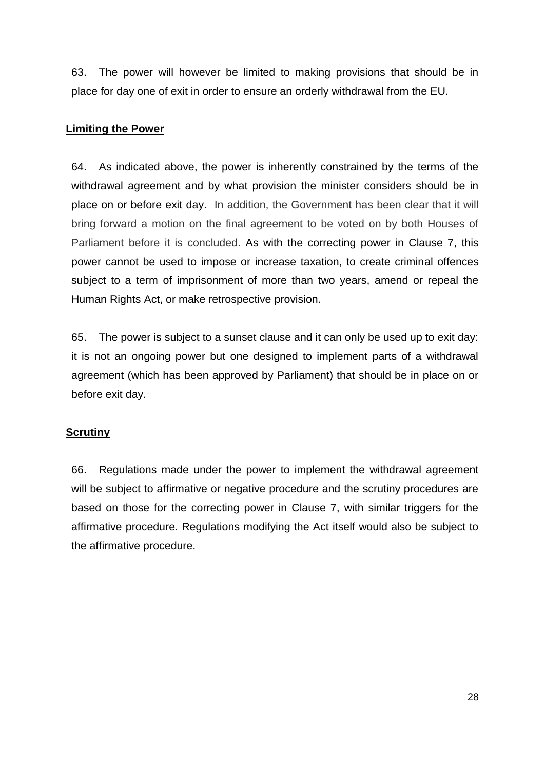63. The power will however be limited to making provisions that should be in place for day one of exit in order to ensure an orderly withdrawal from the EU.

### **Limiting the Power**

64. As indicated above, the power is inherently constrained by the terms of the withdrawal agreement and by what provision the minister considers should be in place on or before exit day. In addition, the Government has been clear that it will bring forward a motion on the final agreement to be voted on by both Houses of Parliament before it is concluded. As with the correcting power in Clause 7, this power cannot be used to impose or increase taxation, to create criminal offences subject to a term of imprisonment of more than two years, amend or repeal the Human Rights Act, or make retrospective provision.

65. The power is subject to a sunset clause and it can only be used up to exit day: it is not an ongoing power but one designed to implement parts of a withdrawal agreement (which has been approved by Parliament) that should be in place on or before exit day.

# **Scrutiny**

66. Regulations made under the power to implement the withdrawal agreement will be subject to affirmative or negative procedure and the scrutiny procedures are based on those for the correcting power in Clause 7, with similar triggers for the affirmative procedure. Regulations modifying the Act itself would also be subject to the affirmative procedure.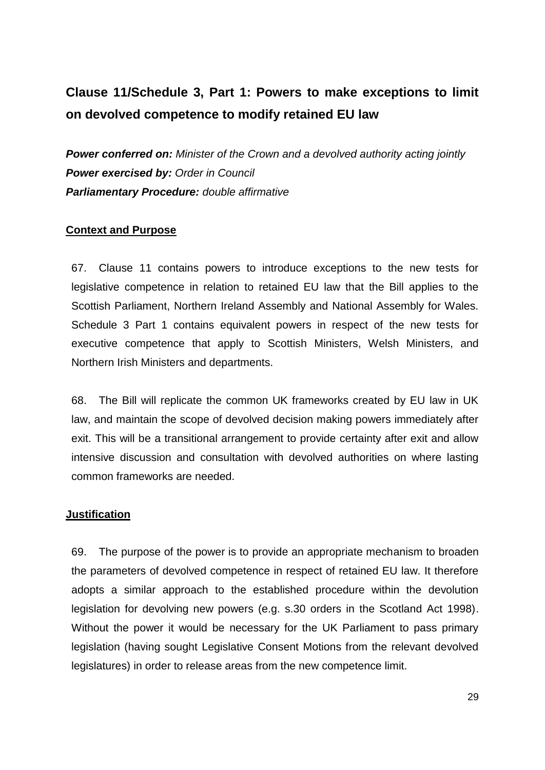# **Clause 11/Schedule 3, Part 1: Powers to make exceptions to limit on devolved competence to modify retained EU law**

*Power conferred on: Minister of the Crown and a devolved authority acting jointly Power exercised by: Order in Council Parliamentary Procedure: double affirmative* 

### **Context and Purpose**

67. Clause 11 contains powers to introduce exceptions to the new tests for legislative competence in relation to retained EU law that the Bill applies to the Scottish Parliament, Northern Ireland Assembly and National Assembly for Wales. Schedule 3 Part 1 contains equivalent powers in respect of the new tests for executive competence that apply to Scottish Ministers, Welsh Ministers, and Northern Irish Ministers and departments.

68. The Bill will replicate the common UK frameworks created by EU law in UK law, and maintain the scope of devolved decision making powers immediately after exit. This will be a transitional arrangement to provide certainty after exit and allow intensive discussion and consultation with devolved authorities on where lasting common frameworks are needed.

#### **Justification**

69. The purpose of the power is to provide an appropriate mechanism to broaden the parameters of devolved competence in respect of retained EU law. It therefore adopts a similar approach to the established procedure within the devolution legislation for devolving new powers (e.g. s.30 orders in the Scotland Act 1998). Without the power it would be necessary for the UK Parliament to pass primary legislation (having sought Legislative Consent Motions from the relevant devolved legislatures) in order to release areas from the new competence limit.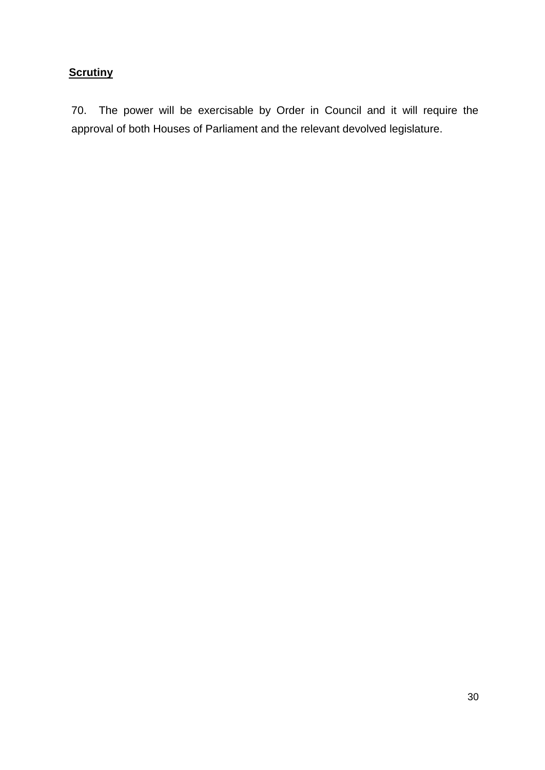# **Scrutiny**

70. The power will be exercisable by Order in Council and it will require the approval of both Houses of Parliament and the relevant devolved legislature.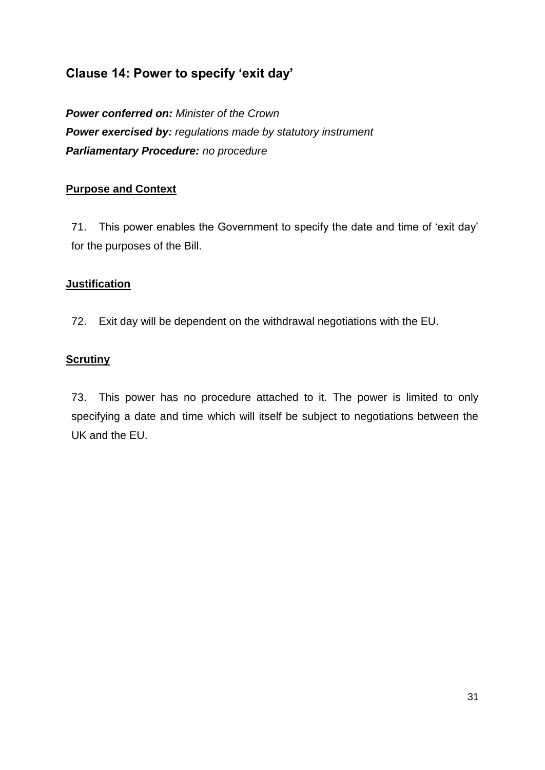# **Clause 14: Power to specify 'exit day'**

*Power conferred on: Minister of the Crown Power exercised by: regulations made by statutory instrument Parliamentary Procedure: no procedure*

## **Purpose and Context**

71. This power enables the Government to specify the date and time of 'exit day' for the purposes of the Bill.

### **Justification**

72. Exit day will be dependent on the withdrawal negotiations with the EU.

### **Scrutiny**

73. This power has no procedure attached to it. The power is limited to only specifying a date and time which will itself be subject to negotiations between the UK and the EU.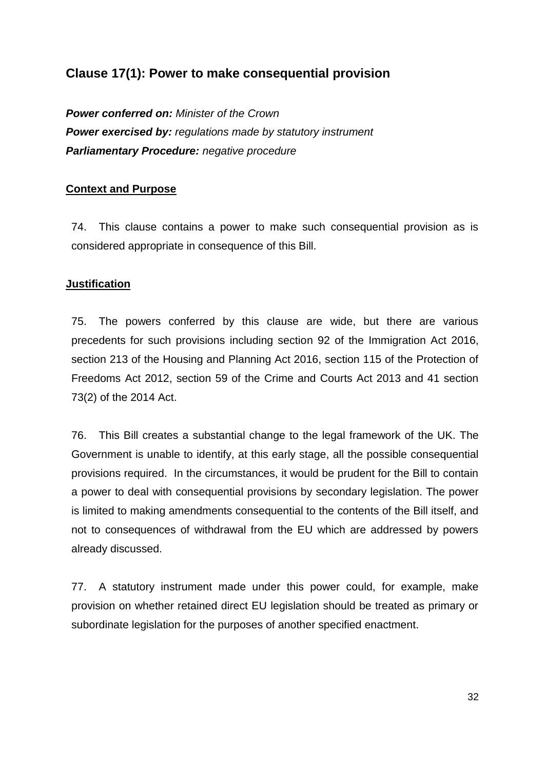# **Clause 17(1): Power to make consequential provision**

*Power conferred on: Minister of the Crown Power exercised by: regulations made by statutory instrument Parliamentary Procedure: negative procedure*

## **Context and Purpose**

74. This clause contains a power to make such consequential provision as is considered appropriate in consequence of this Bill.

### **Justification**

75. The powers conferred by this clause are wide, but there are various precedents for such provisions including section 92 of the Immigration Act 2016, section 213 of the Housing and Planning Act 2016, section 115 of the Protection of Freedoms Act 2012, section 59 of the Crime and Courts Act 2013 and 41 section 73(2) of the 2014 Act.

76. This Bill creates a substantial change to the legal framework of the UK. The Government is unable to identify, at this early stage, all the possible consequential provisions required. In the circumstances, it would be prudent for the Bill to contain a power to deal with consequential provisions by secondary legislation. The power is limited to making amendments consequential to the contents of the Bill itself, and not to consequences of withdrawal from the EU which are addressed by powers already discussed.

77. A statutory instrument made under this power could, for example, make provision on whether retained direct EU legislation should be treated as primary or subordinate legislation for the purposes of another specified enactment.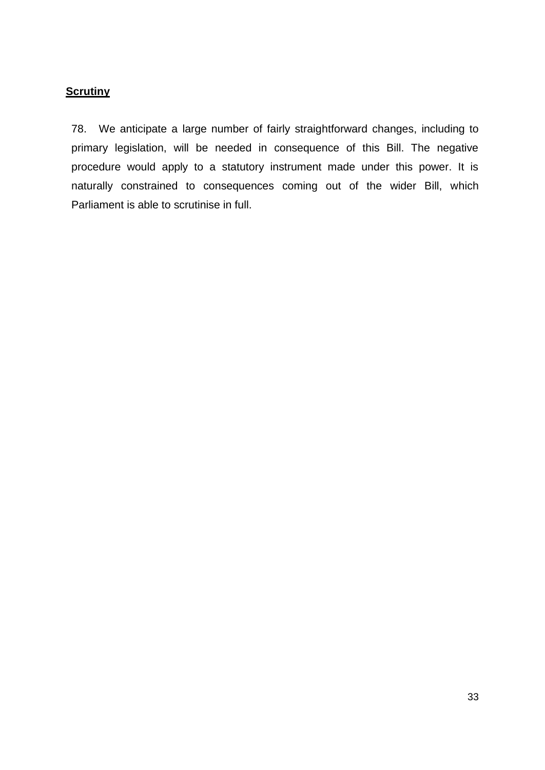# **Scrutiny**

78. We anticipate a large number of fairly straightforward changes, including to primary legislation, will be needed in consequence of this Bill. The negative procedure would apply to a statutory instrument made under this power. It is naturally constrained to consequences coming out of the wider Bill, which Parliament is able to scrutinise in full.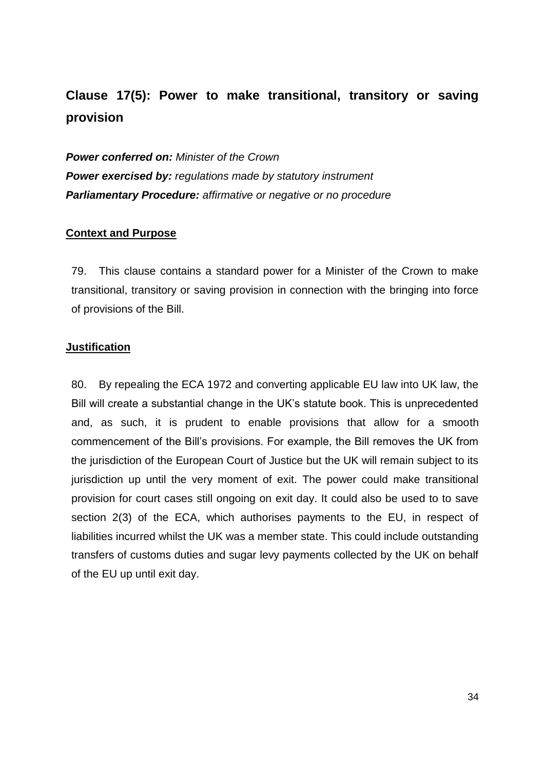# **Clause 17(5): Power to make transitional, transitory or saving provision**

*Power conferred on: Minister of the Crown Power exercised by: regulations made by statutory instrument Parliamentary Procedure: affirmative or negative or no procedure*

### **Context and Purpose**

79. This clause contains a standard power for a Minister of the Crown to make transitional, transitory or saving provision in connection with the bringing into force of provisions of the Bill.

#### **Justification**

80. By repealing the ECA 1972 and converting applicable EU law into UK law, the Bill will create a substantial change in the UK's statute book. This is unprecedented and, as such, it is prudent to enable provisions that allow for a smooth commencement of the Bill's provisions. For example, the Bill removes the UK from the jurisdiction of the European Court of Justice but the UK will remain subject to its jurisdiction up until the very moment of exit. The power could make transitional provision for court cases still ongoing on exit day. It could also be used to to save section 2(3) of the ECA, which authorises payments to the EU, in respect of liabilities incurred whilst the UK was a member state. This could include outstanding transfers of customs duties and sugar levy payments collected by the UK on behalf of the EU up until exit day.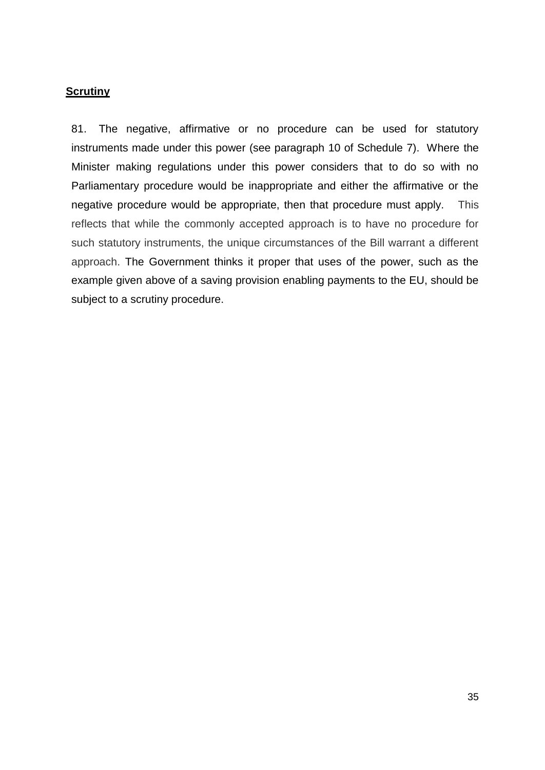# **Scrutiny**

81. The negative, affirmative or no procedure can be used for statutory instruments made under this power (see paragraph 10 of Schedule 7). Where the Minister making regulations under this power considers that to do so with no Parliamentary procedure would be inappropriate and either the affirmative or the negative procedure would be appropriate, then that procedure must apply. This reflects that while the commonly accepted approach is to have no procedure for such statutory instruments, the unique circumstances of the Bill warrant a different approach. The Government thinks it proper that uses of the power, such as the example given above of a saving provision enabling payments to the EU, should be subject to a scrutiny procedure.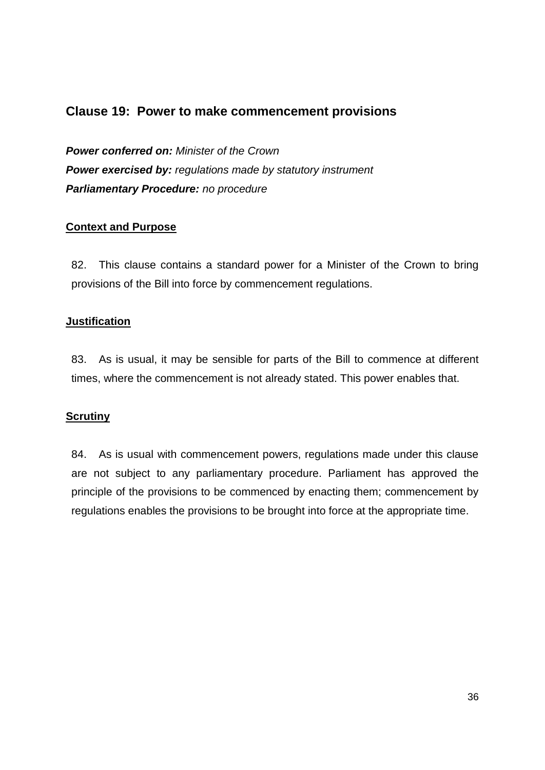# **Clause 19: Power to make commencement provisions**

*Power conferred on: Minister of the Crown Power exercised by: regulations made by statutory instrument Parliamentary Procedure: no procedure* 

### **Context and Purpose**

82. This clause contains a standard power for a Minister of the Crown to bring provisions of the Bill into force by commencement regulations.

## **Justification**

83. As is usual, it may be sensible for parts of the Bill to commence at different times, where the commencement is not already stated. This power enables that.

# **Scrutiny**

84. As is usual with commencement powers, regulations made under this clause are not subject to any parliamentary procedure. Parliament has approved the principle of the provisions to be commenced by enacting them; commencement by regulations enables the provisions to be brought into force at the appropriate time.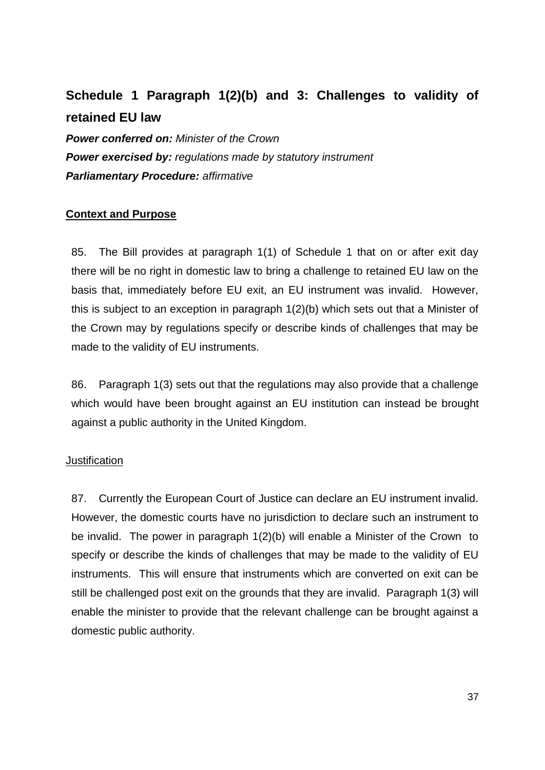# **Schedule 1 Paragraph 1(2)(b) and 3: Challenges to validity of retained EU law**

*Power conferred on: Minister of the Crown Power exercised by: regulations made by statutory instrument Parliamentary Procedure: affirmative*

## **Context and Purpose**

85. The Bill provides at paragraph 1(1) of Schedule 1 that on or after exit day there will be no right in domestic law to bring a challenge to retained EU law on the basis that, immediately before EU exit, an EU instrument was invalid. However, this is subject to an exception in paragraph 1(2)(b) which sets out that a Minister of the Crown may by regulations specify or describe kinds of challenges that may be made to the validity of EU instruments.

86. Paragraph 1(3) sets out that the regulations may also provide that a challenge which would have been brought against an EU institution can instead be brought against a public authority in the United Kingdom.

### **Justification**

87. Currently the European Court of Justice can declare an EU instrument invalid. However, the domestic courts have no jurisdiction to declare such an instrument to be invalid. The power in paragraph 1(2)(b) will enable a Minister of the Crown to specify or describe the kinds of challenges that may be made to the validity of EU instruments. This will ensure that instruments which are converted on exit can be still be challenged post exit on the grounds that they are invalid. Paragraph 1(3) will enable the minister to provide that the relevant challenge can be brought against a domestic public authority.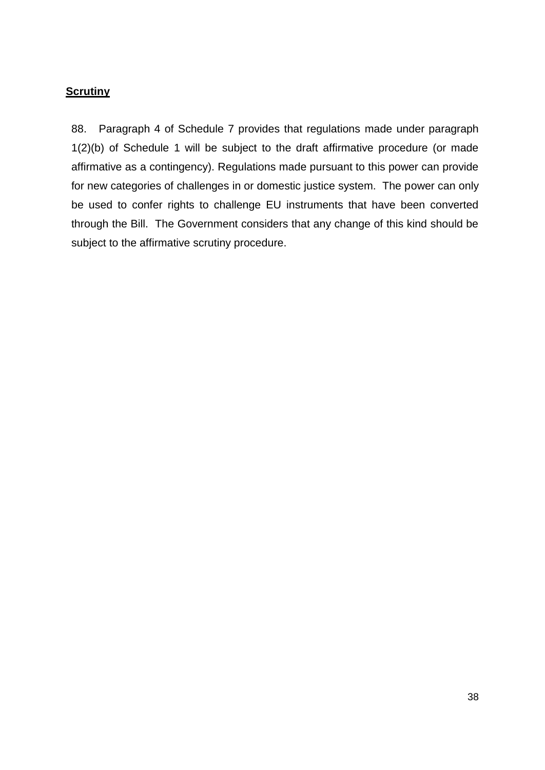# **Scrutiny**

88. Paragraph 4 of Schedule 7 provides that regulations made under paragraph 1(2)(b) of Schedule 1 will be subject to the draft affirmative procedure (or made affirmative as a contingency). Regulations made pursuant to this power can provide for new categories of challenges in or domestic justice system. The power can only be used to confer rights to challenge EU instruments that have been converted through the Bill. The Government considers that any change of this kind should be subject to the affirmative scrutiny procedure.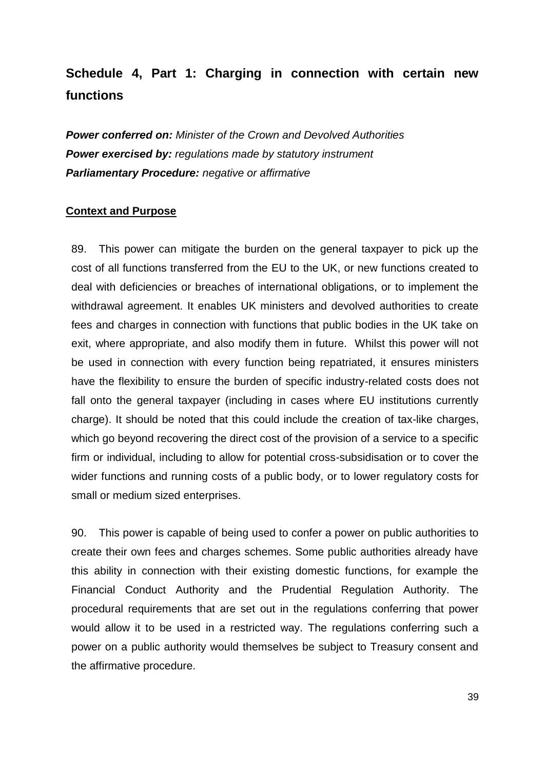# **Schedule 4, Part 1: Charging in connection with certain new functions**

*Power conferred on: Minister of the Crown and Devolved Authorities Power exercised by: regulations made by statutory instrument Parliamentary Procedure: negative or affirmative*

### **Context and Purpose**

89. This power can mitigate the burden on the general taxpayer to pick up the cost of all functions transferred from the EU to the UK, or new functions created to deal with deficiencies or breaches of international obligations, or to implement the withdrawal agreement. It enables UK ministers and devolved authorities to create fees and charges in connection with functions that public bodies in the UK take on exit, where appropriate, and also modify them in future. Whilst this power will not be used in connection with every function being repatriated, it ensures ministers have the flexibility to ensure the burden of specific industry-related costs does not fall onto the general taxpayer (including in cases where EU institutions currently charge). It should be noted that this could include the creation of tax-like charges, which go beyond recovering the direct cost of the provision of a service to a specific firm or individual, including to allow for potential cross-subsidisation or to cover the wider functions and running costs of a public body, or to lower regulatory costs for small or medium sized enterprises.

90. This power is capable of being used to confer a power on public authorities to create their own fees and charges schemes. Some public authorities already have this ability in connection with their existing domestic functions, for example the Financial Conduct Authority and the Prudential Regulation Authority. The procedural requirements that are set out in the regulations conferring that power would allow it to be used in a restricted way. The regulations conferring such a power on a public authority would themselves be subject to Treasury consent and the affirmative procedure.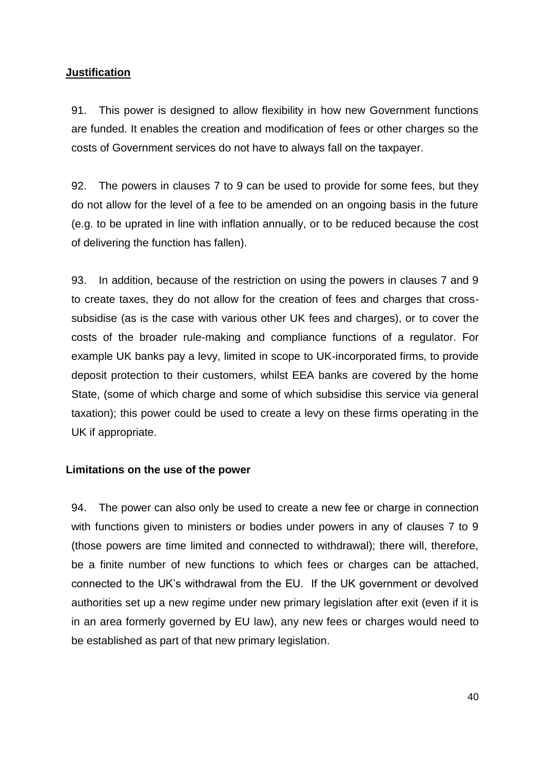## **Justification**

91. This power is designed to allow flexibility in how new Government functions are funded. It enables the creation and modification of fees or other charges so the costs of Government services do not have to always fall on the taxpayer.

92. The powers in clauses 7 to 9 can be used to provide for some fees, but they do not allow for the level of a fee to be amended on an ongoing basis in the future (e.g. to be uprated in line with inflation annually, or to be reduced because the cost of delivering the function has fallen).

93. In addition, because of the restriction on using the powers in clauses 7 and 9 to create taxes, they do not allow for the creation of fees and charges that crosssubsidise (as is the case with various other UK fees and charges), or to cover the costs of the broader rule-making and compliance functions of a regulator. For example UK banks pay a levy, limited in scope to UK-incorporated firms, to provide deposit protection to their customers, whilst EEA banks are covered by the home State, (some of which charge and some of which subsidise this service via general taxation); this power could be used to create a levy on these firms operating in the UK if appropriate.

### **Limitations on the use of the power**

94. The power can also only be used to create a new fee or charge in connection with functions given to ministers or bodies under powers in any of clauses 7 to 9 (those powers are time limited and connected to withdrawal); there will, therefore, be a finite number of new functions to which fees or charges can be attached, connected to the UK's withdrawal from the EU. If the UK government or devolved authorities set up a new regime under new primary legislation after exit (even if it is in an area formerly governed by EU law), any new fees or charges would need to be established as part of that new primary legislation.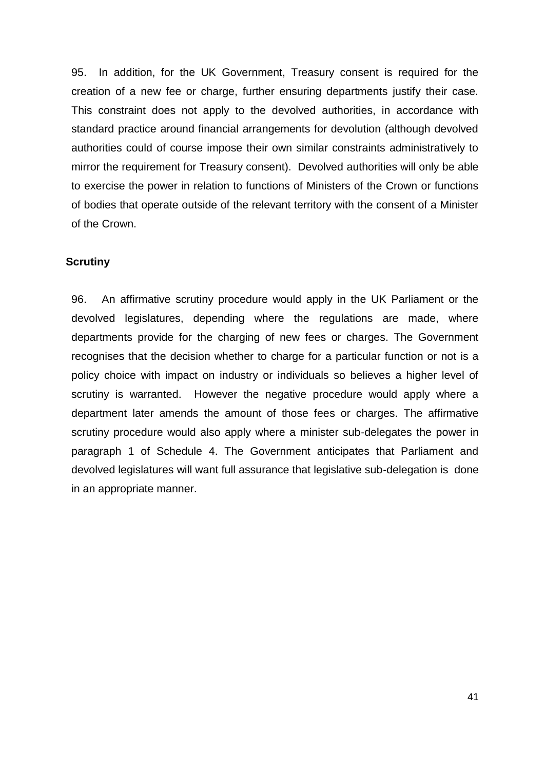95. In addition, for the UK Government, Treasury consent is required for the creation of a new fee or charge, further ensuring departments justify their case. This constraint does not apply to the devolved authorities, in accordance with standard practice around financial arrangements for devolution (although devolved authorities could of course impose their own similar constraints administratively to mirror the requirement for Treasury consent). Devolved authorities will only be able to exercise the power in relation to functions of Ministers of the Crown or functions of bodies that operate outside of the relevant territory with the consent of a Minister of the Crown.

#### **Scrutiny**

96. An affirmative scrutiny procedure would apply in the UK Parliament or the devolved legislatures, depending where the regulations are made, where departments provide for the charging of new fees or charges. The Government recognises that the decision whether to charge for a particular function or not is a policy choice with impact on industry or individuals so believes a higher level of scrutiny is warranted. However the negative procedure would apply where a department later amends the amount of those fees or charges. The affirmative scrutiny procedure would also apply where a minister sub-delegates the power in paragraph 1 of Schedule 4. The Government anticipates that Parliament and devolved legislatures will want full assurance that legislative sub-delegation is done in an appropriate manner.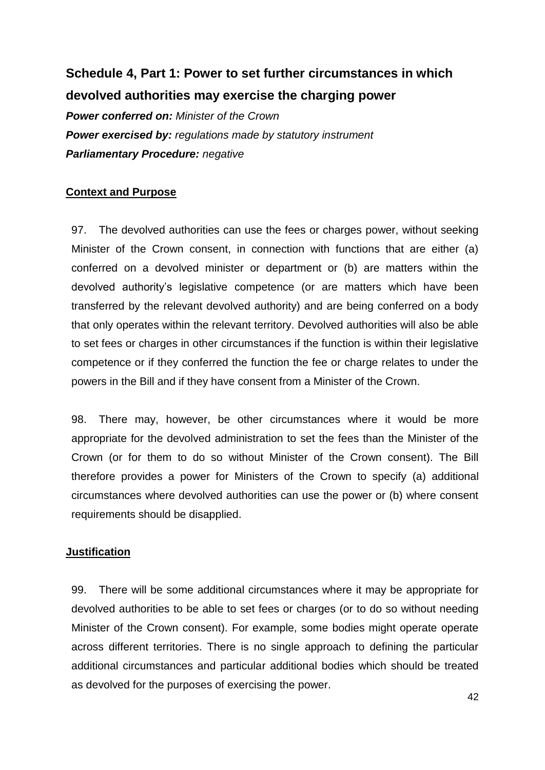# **Schedule 4, Part 1: Power to set further circumstances in which devolved authorities may exercise the charging power**

*Power conferred on: Minister of the Crown Power exercised by: regulations made by statutory instrument Parliamentary Procedure: negative*

# **Context and Purpose**

97. The devolved authorities can use the fees or charges power, without seeking Minister of the Crown consent, in connection with functions that are either (a) conferred on a devolved minister or department or (b) are matters within the devolved authority's legislative competence (or are matters which have been transferred by the relevant devolved authority) and are being conferred on a body that only operates within the relevant territory. Devolved authorities will also be able to set fees or charges in other circumstances if the function is within their legislative competence or if they conferred the function the fee or charge relates to under the powers in the Bill and if they have consent from a Minister of the Crown.

98. There may, however, be other circumstances where it would be more appropriate for the devolved administration to set the fees than the Minister of the Crown (or for them to do so without Minister of the Crown consent). The Bill therefore provides a power for Ministers of the Crown to specify (a) additional circumstances where devolved authorities can use the power or (b) where consent requirements should be disapplied.

### **Justification**

99. There will be some additional circumstances where it may be appropriate for devolved authorities to be able to set fees or charges (or to do so without needing Minister of the Crown consent). For example, some bodies might operate operate across different territories. There is no single approach to defining the particular additional circumstances and particular additional bodies which should be treated as devolved for the purposes of exercising the power.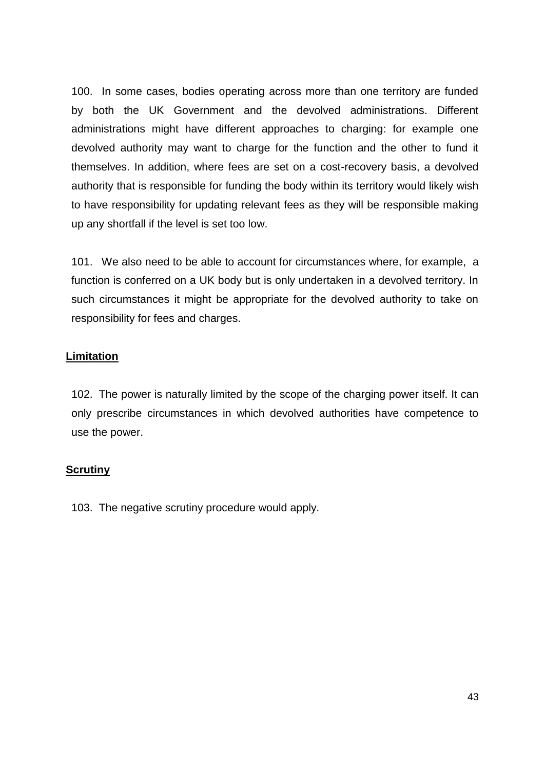100. In some cases, bodies operating across more than one territory are funded by both the UK Government and the devolved administrations. Different administrations might have different approaches to charging: for example one devolved authority may want to charge for the function and the other to fund it themselves. In addition, where fees are set on a cost-recovery basis, a devolved authority that is responsible for funding the body within its territory would likely wish to have responsibility for updating relevant fees as they will be responsible making up any shortfall if the level is set too low.

101. We also need to be able to account for circumstances where, for example, a function is conferred on a UK body but is only undertaken in a devolved territory. In such circumstances it might be appropriate for the devolved authority to take on responsibility for fees and charges.

## **Limitation**

102. The power is naturally limited by the scope of the charging power itself. It can only prescribe circumstances in which devolved authorities have competence to use the power.

### **Scrutiny**

103. The negative scrutiny procedure would apply.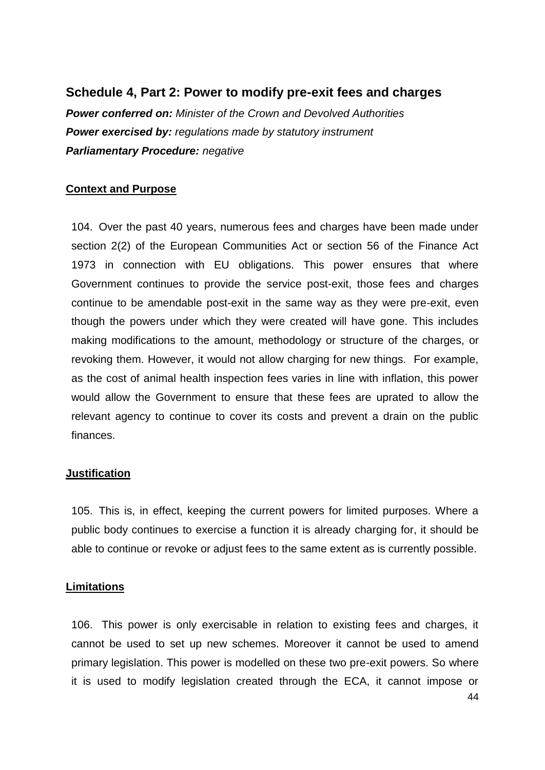# **Schedule 4, Part 2: Power to modify pre-exit fees and charges**

*Power conferred on: Minister of the Crown and Devolved Authorities Power exercised by: regulations made by statutory instrument Parliamentary Procedure: negative*

### **Context and Purpose**

104. Over the past 40 years, numerous fees and charges have been made under section 2(2) of the European Communities Act or section 56 of the Finance Act 1973 in connection with EU obligations. This power ensures that where Government continues to provide the service post-exit, those fees and charges continue to be amendable post-exit in the same way as they were pre-exit, even though the powers under which they were created will have gone. This includes making modifications to the amount, methodology or structure of the charges, or revoking them. However, it would not allow charging for new things. For example, as the cost of animal health inspection fees varies in line with inflation, this power would allow the Government to ensure that these fees are uprated to allow the relevant agency to continue to cover its costs and prevent a drain on the public finances.

### **Justification**

105. This is, in effect, keeping the current powers for limited purposes. Where a public body continues to exercise a function it is already charging for, it should be able to continue or revoke or adjust fees to the same extent as is currently possible.

### **Limitations**

106. This power is only exercisable in relation to existing fees and charges, it cannot be used to set up new schemes. Moreover it cannot be used to amend primary legislation. This power is modelled on these two pre-exit powers. So where it is used to modify legislation created through the ECA, it cannot impose or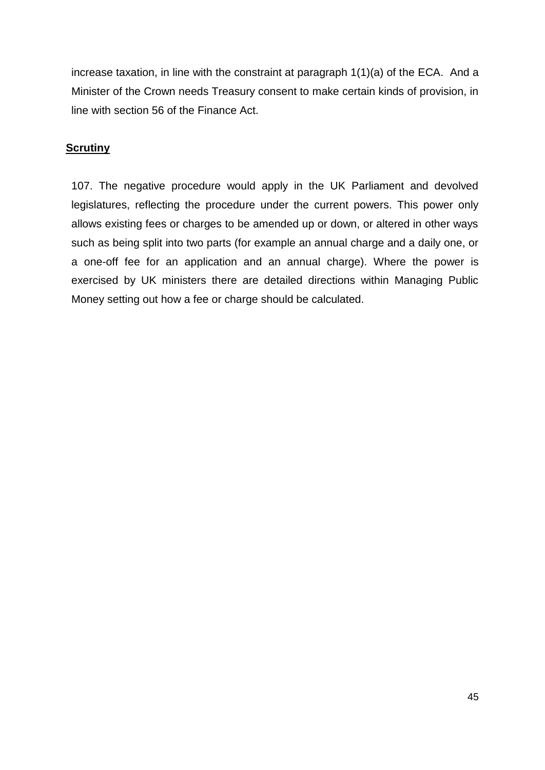increase taxation, in line with the constraint at paragraph 1(1)(a) of the ECA. And a Minister of the Crown needs Treasury consent to make certain kinds of provision, in line with section 56 of the Finance Act.

## **Scrutiny**

107. The negative procedure would apply in the UK Parliament and devolved legislatures, reflecting the procedure under the current powers. This power only allows existing fees or charges to be amended up or down, or altered in other ways such as being split into two parts (for example an annual charge and a daily one, or a one-off fee for an application and an annual charge). Where the power is exercised by UK ministers there are detailed directions within Managing Public Money setting out how a fee or charge should be calculated.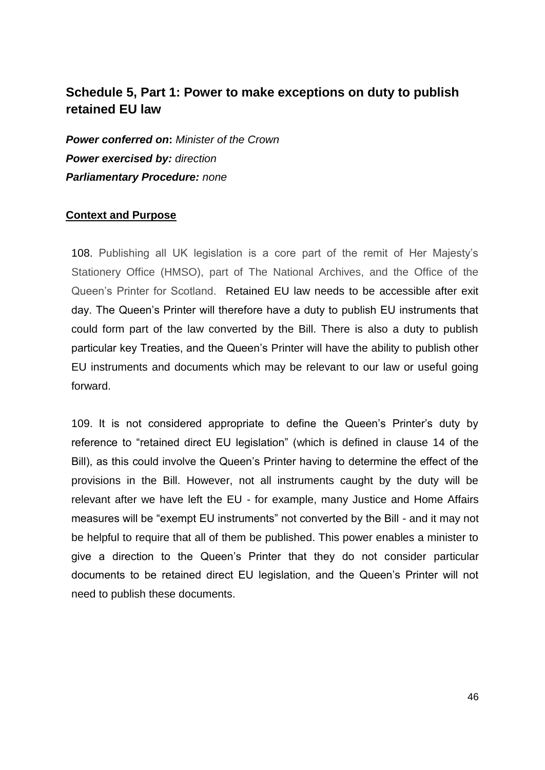# **Schedule 5, Part 1: Power to make exceptions on duty to publish retained EU law**

*Power conferred on***:** *Minister of the Crown Power exercised by: direction Parliamentary Procedure: none* 

### **Context and Purpose**

108. Publishing all UK legislation is a core part of the remit of Her Majesty's Stationery Office (HMSO), part of The National Archives, and the Office of the Queen's Printer for Scotland. Retained EU law needs to be accessible after exit day. The Queen's Printer will therefore have a duty to publish EU instruments that could form part of the law converted by the Bill. There is also a duty to publish particular key Treaties, and the Queen's Printer will have the ability to publish other EU instruments and documents which may be relevant to our law or useful going forward.

109. It is not considered appropriate to define the Queen's Printer's duty by reference to "retained direct EU legislation" (which is defined in clause 14 of the Bill), as this could involve the Queen's Printer having to determine the effect of the provisions in the Bill. However, not all instruments caught by the duty will be relevant after we have left the EU - for example, many Justice and Home Affairs measures will be "exempt EU instruments" not converted by the Bill - and it may not be helpful to require that all of them be published. This power enables a minister to give a direction to the Queen's Printer that they do not consider particular documents to be retained direct EU legislation, and the Queen's Printer will not need to publish these documents.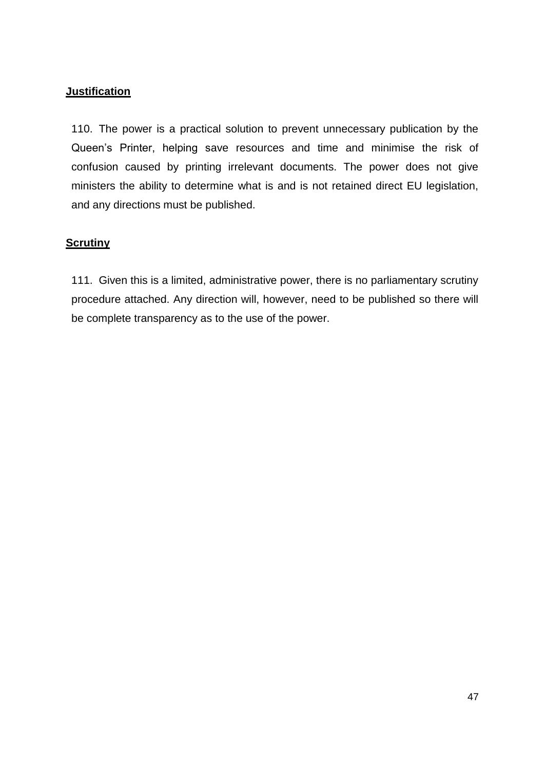## **Justification**

110. The power is a practical solution to prevent unnecessary publication by the Queen's Printer, helping save resources and time and minimise the risk of confusion caused by printing irrelevant documents. The power does not give ministers the ability to determine what is and is not retained direct EU legislation, and any directions must be published.

## **Scrutiny**

111. Given this is a limited, administrative power, there is no parliamentary scrutiny procedure attached. Any direction will, however, need to be published so there will be complete transparency as to the use of the power.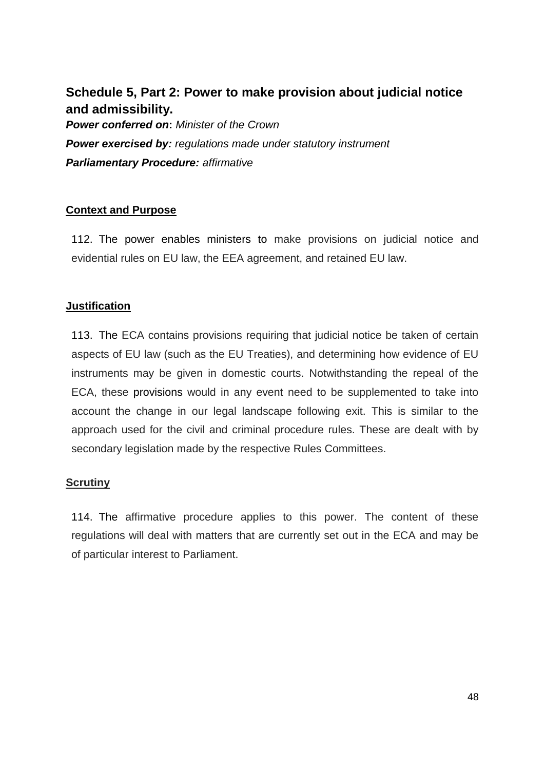# **Schedule 5, Part 2: Power to make provision about judicial notice and admissibility.**

*Power conferred on***:** *Minister of the Crown Power exercised by: regulations made under statutory instrument Parliamentary Procedure: affirmative* 

## **Context and Purpose**

112. The power enables ministers to make provisions on judicial notice and evidential rules on EU law, the EEA agreement, and retained EU law.

## **Justification**

113. The ECA contains provisions requiring that judicial notice be taken of certain aspects of EU law (such as the EU Treaties), and determining how evidence of EU instruments may be given in domestic courts. Notwithstanding the repeal of the ECA, these provisions would in any event need to be supplemented to take into account the change in our legal landscape following exit. This is similar to the approach used for the civil and criminal procedure rules. These are dealt with by secondary legislation made by the respective Rules Committees.

# **Scrutiny**

114. The affirmative procedure applies to this power. The content of these regulations will deal with matters that are currently set out in the ECA and may be of particular interest to Parliament.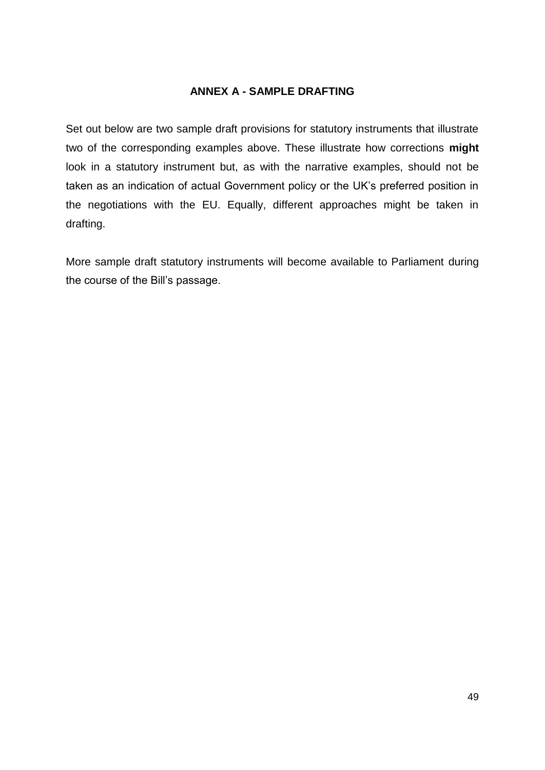### **ANNEX A - SAMPLE DRAFTING**

Set out below are two sample draft provisions for statutory instruments that illustrate two of the corresponding examples above. These illustrate how corrections **might** look in a statutory instrument but, as with the narrative examples, should not be taken as an indication of actual Government policy or the UK's preferred position in the negotiations with the EU. Equally, different approaches might be taken in drafting.

More sample draft statutory instruments will become available to Parliament during the course of the Bill's passage.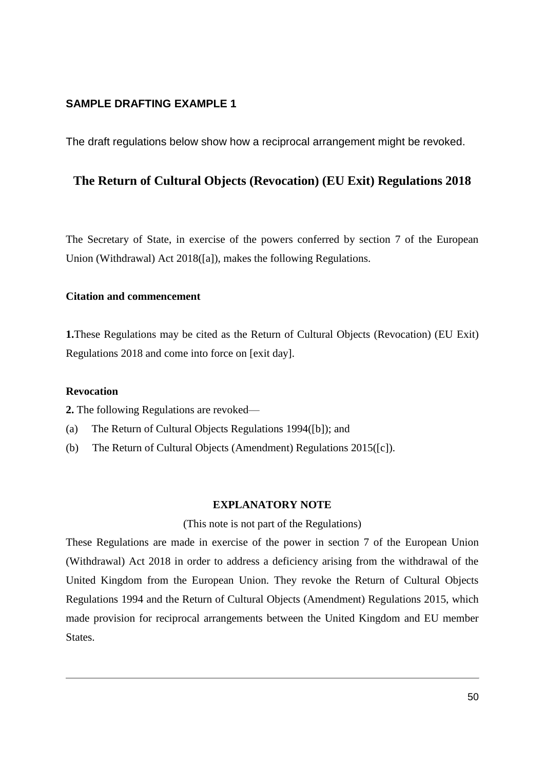#### **SAMPLE DRAFTING EXAMPLE 1**

The draft regulations below show how a reciprocal arrangement might be revoked.

## **The Return of Cultural Objects (Revocation) (EU Exit) Regulations 2018**

The Secretary of State, in exercise of the powers conferred by section 7 of the European Union (Withdrawal) Act 2018([a]), makes the following Regulations.

#### **Citation and commencement**

**1.**These Regulations may be cited as the Return of Cultural Objects (Revocation) (EU Exit) Regulations 2018 and come into force on [exit day].

#### **Revocation**

**2.** The following Regulations are revoked—

- (a) The Return of Cultural Objects Regulations 1994([b]); and
- (b) The Return of Cultural Objects (Amendment) Regulations 2015([c]).

#### **EXPLANATORY NOTE**

#### (This note is not part of the Regulations)

These Regulations are made in exercise of the power in section 7 of the European Union (Withdrawal) Act 2018 in order to address a deficiency arising from the withdrawal of the United Kingdom from the European Union. They revoke the Return of Cultural Objects Regulations 1994 and the Return of Cultural Objects (Amendment) Regulations 2015, which made provision for reciprocal arrangements between the United Kingdom and EU member States.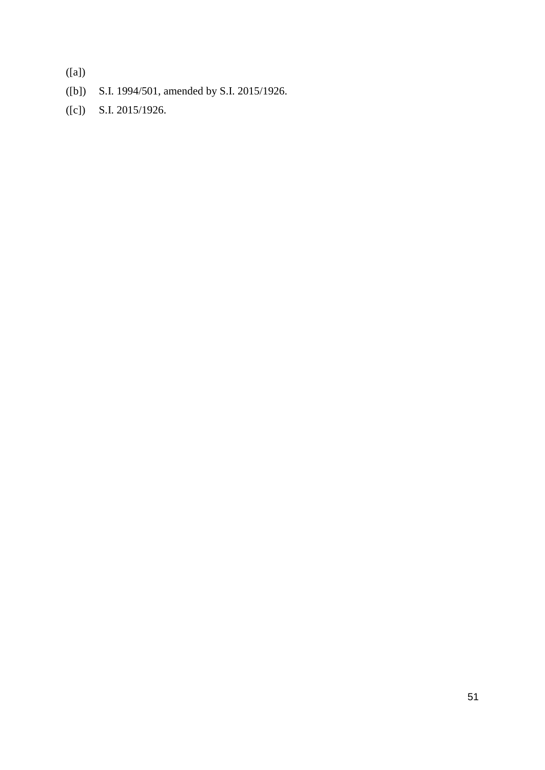([a])

- ([b]) S.I. 1994/501, amended by S.I. 2015/1926.
- ([c]) S.I. 2015/1926.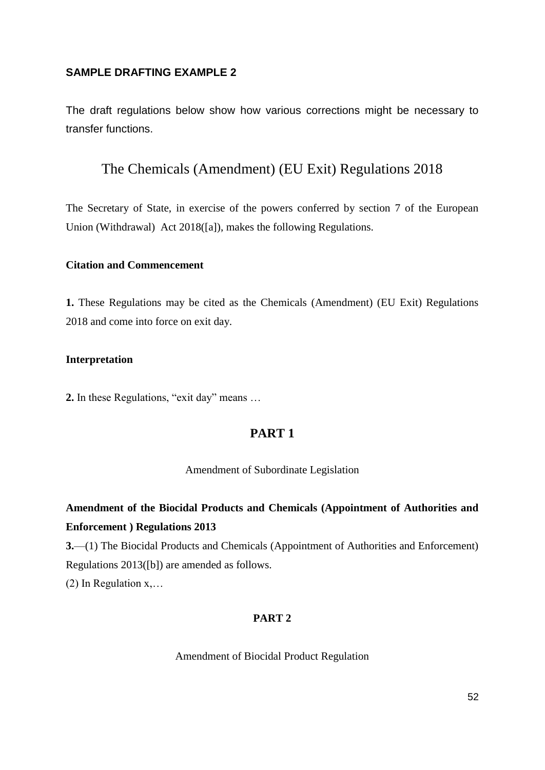#### **SAMPLE DRAFTING EXAMPLE 2**

The draft regulations below show how various corrections might be necessary to transfer functions.

# The Chemicals (Amendment) (EU Exit) Regulations 2018

The Secretary of State, in exercise of the powers conferred by section 7 of the European Union (Withdrawal) Act 2018([a]), makes the following Regulations.

#### **Citation and Commencement**

**1.** These Regulations may be cited as the Chemicals (Amendment) (EU Exit) Regulations 2018 and come into force on exit day.

#### **Interpretation**

**2.** In these Regulations, "exit day" means …

# **PART 1**

Amendment of Subordinate Legislation

# **Amendment of the Biocidal Products and Chemicals (Appointment of Authorities and Enforcement ) Regulations 2013**

**3.**—(1) The Biocidal Products and Chemicals (Appointment of Authorities and Enforcement) Regulations 2013([b]) are amended as follows.

(2) In Regulation x,…

#### **PART 2**

Amendment of Biocidal Product Regulation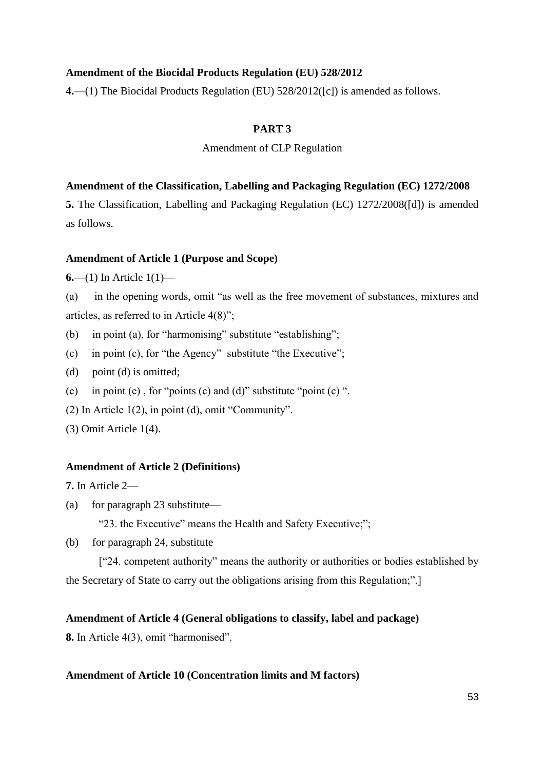#### **Amendment of the Biocidal Products Regulation (EU) 528/2012**

**4.**—(1) The Biocidal Products Regulation (EU) 528/2012([c]) is amended as follows.

### **PART 3**

### Amendment of CLP Regulation

#### **Amendment of the Classification, Labelling and Packaging Regulation (EC) 1272/2008**

**5.** The Classification, Labelling and Packaging Regulation (EC) 1272/2008([d]) is amended as follows.

#### **Amendment of Article 1 (Purpose and Scope)**

**6.**—(1) In Article 1(1)—

(a) in the opening words, omit "as well as the free movement of substances, mixtures and articles, as referred to in Article 4(8)";

- (b) in point (a), for "harmonising" substitute "establishing";
- (c) in point (c), for "the Agency" substitute "the Executive";
- (d) point (d) is omitted;
- (e) in point (e) , for "points (c) and (d)" substitute "point (c) ".
- (2) In Article 1(2), in point (d), omit "Community".
- (3) Omit Article 1(4).

#### **Amendment of Article 2 (Definitions)**

**7.** In Article 2—

(a) for paragraph 23 substitute—

"23. the Executive" means the Health and Safety Executive;";

(b) for paragraph 24, substitute

["24. competent authority" means the authority or authorities or bodies established by the Secretary of State to carry out the obligations arising from this Regulation;".]

#### **Amendment of Article 4 (General obligations to classify, label and package)**

**8.** In Article 4(3), omit "harmonised".

#### **Amendment of Article 10 (Concentration limits and M factors)**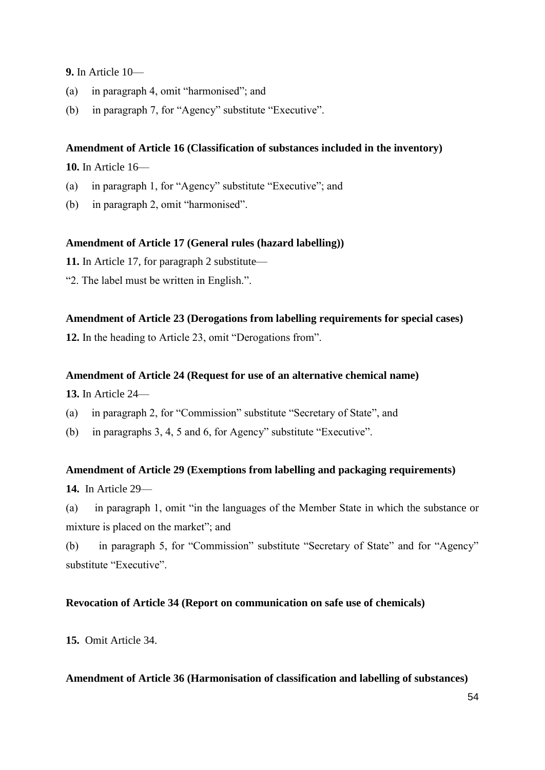**9.** In Article 10—

- (a) in paragraph 4, omit "harmonised"; and
- (b) in paragraph 7, for "Agency" substitute "Executive".

#### **Amendment of Article 16 (Classification of substances included in the inventory)**

**10.** In Article 16—

- (a) in paragraph 1, for "Agency" substitute "Executive"; and
- (b) in paragraph 2, omit "harmonised".

#### **Amendment of Article 17 (General rules (hazard labelling))**

**11.** In Article 17, for paragraph 2 substitute—

"2. The label must be written in English.".

#### **Amendment of Article 23 (Derogations from labelling requirements for special cases)**

**12.** In the heading to Article 23, omit "Derogations from".

#### **Amendment of Article 24 (Request for use of an alternative chemical name)**

**13.** In Article 24—

- (a) in paragraph 2, for "Commission" substitute "Secretary of State", and
- (b) in paragraphs 3, 4, 5 and 6, for Agency" substitute "Executive".

#### **Amendment of Article 29 (Exemptions from labelling and packaging requirements)**

**14.** In Article 29—

(a) in paragraph 1, omit "in the languages of the Member State in which the substance or mixture is placed on the market"; and

(b) in paragraph 5, for "Commission" substitute "Secretary of State" and for "Agency" substitute "Executive".

### **Revocation of Article 34 (Report on communication on safe use of chemicals)**

**15.** Omit Article 34.

#### **Amendment of Article 36 (Harmonisation of classification and labelling of substances)**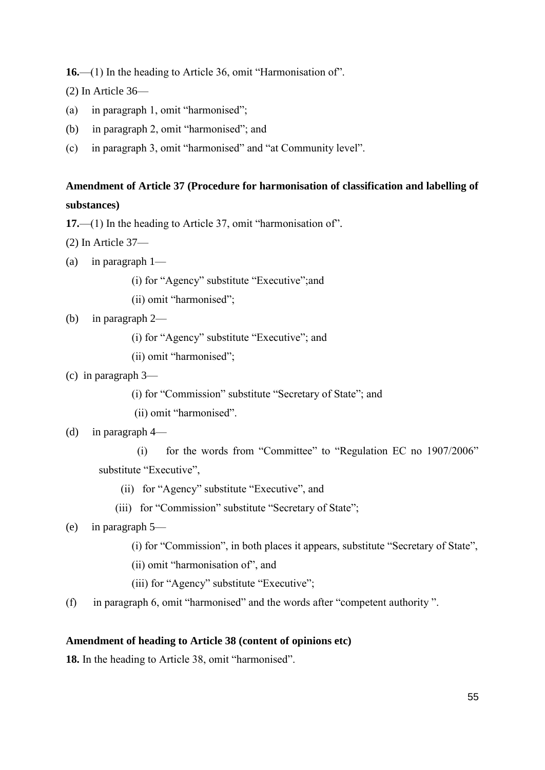**16.**—(1) In the heading to Article 36, omit "Harmonisation of".

(2) In Article 36—

- (a) in paragraph 1, omit "harmonised";
- (b) in paragraph 2, omit "harmonised"; and
- (c) in paragraph 3, omit "harmonised" and "at Community level".

# **Amendment of Article 37 (Procedure for harmonisation of classification and labelling of substances)**

**17.**—(1) In the heading to Article 37, omit "harmonisation of".

(2) In Article 37—

(a) in paragraph 1—

(i) for "Agency" substitute "Executive";and

(ii) omit "harmonised";

### (b) in paragraph 2—

- (i) for "Agency" substitute "Executive"; and
- (ii) omit "harmonised";
- (c) in paragraph 3—
	- (i) for "Commission" substitute "Secretary of State"; and
	- (ii) omit "harmonised".

#### (d) in paragraph 4—

 (i) for the words from "Committee" to "Regulation EC no 1907/2006" substitute "Executive",

- (ii) for "Agency" substitute "Executive", and
- (iii) for "Commission" substitute "Secretary of State";
- (e) in paragraph 5—
	- (i) for "Commission", in both places it appears, substitute "Secretary of State",
	- (ii) omit "harmonisation of", and
	- (iii) for "Agency" substitute "Executive";
- (f) in paragraph 6, omit "harmonised" and the words after "competent authority ".

#### **Amendment of heading to Article 38 (content of opinions etc)**

**18.** In the heading to Article 38, omit "harmonised".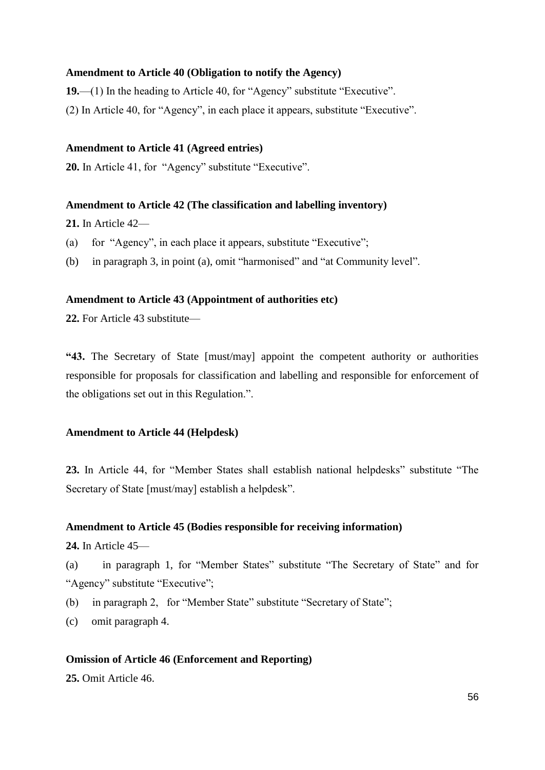#### **Amendment to Article 40 (Obligation to notify the Agency)**

**19.**—(1) In the heading to Article 40, for "Agency" substitute "Executive".

(2) In Article 40, for "Agency", in each place it appears, substitute "Executive".

#### **Amendment to Article 41 (Agreed entries)**

**20.** In Article 41, for "Agency" substitute "Executive".

#### **Amendment to Article 42 (The classification and labelling inventory)**

**21.** In Article 42—

- (a) for "Agency", in each place it appears, substitute "Executive";
- (b) in paragraph 3, in point (a), omit "harmonised" and "at Community level".

#### **Amendment to Article 43 (Appointment of authorities etc)**

**22.** For Article 43 substitute—

**"43.** The Secretary of State [must/may] appoint the competent authority or authorities responsible for proposals for classification and labelling and responsible for enforcement of the obligations set out in this Regulation.".

#### **Amendment to Article 44 (Helpdesk)**

**23.** In Article 44, for "Member States shall establish national helpdesks" substitute "The Secretary of State [must/may] establish a helpdesk".

#### **Amendment to Article 45 (Bodies responsible for receiving information)**

**24.** In Article 45—

(a) in paragraph 1, for "Member States" substitute "The Secretary of State" and for "Agency" substitute "Executive";

- (b) in paragraph 2, for "Member State" substitute "Secretary of State";
- (c) omit paragraph 4.

#### **Omission of Article 46 (Enforcement and Reporting)**

**25.** Omit Article 46.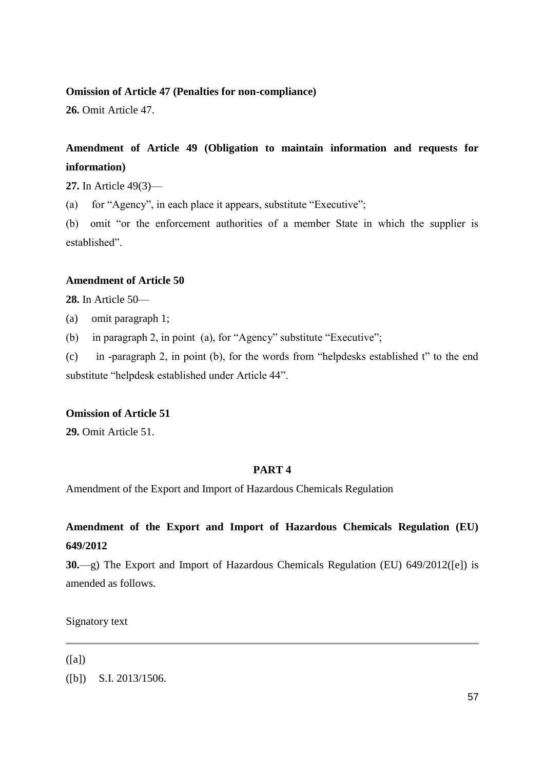#### **Omission of Article 47 (Penalties for non-compliance)**

**26.** Omit Article 47.

# **Amendment of Article 49 (Obligation to maintain information and requests for information)**

**27.** In Article 49(3)—

(a) for "Agency", in each place it appears, substitute "Executive";

(b) omit "or the enforcement authorities of a member State in which the supplier is established".

#### **Amendment of Article 50**

**28.** In Article 50—

(a) omit paragraph 1;

(b) in paragraph 2, in point (a), for "Agency" substitute "Executive";

(c) in -paragraph 2, in point (b), for the words from "helpdesks established t" to the end substitute "helpdesk established under Article 44".

#### **Omission of Article 51**

**29.** Omit Article 51.

#### **PART 4**

Amendment of the Export and Import of Hazardous Chemicals Regulation

# **Amendment of the Export and Import of Hazardous Chemicals Regulation (EU) 649/2012**

**30.**—g) The Export and Import of Hazardous Chemicals Regulation (EU) 649/2012([e]) is amended as follows.

Signatory text

#### ([a])

([b]) S.I. 2013/1506.